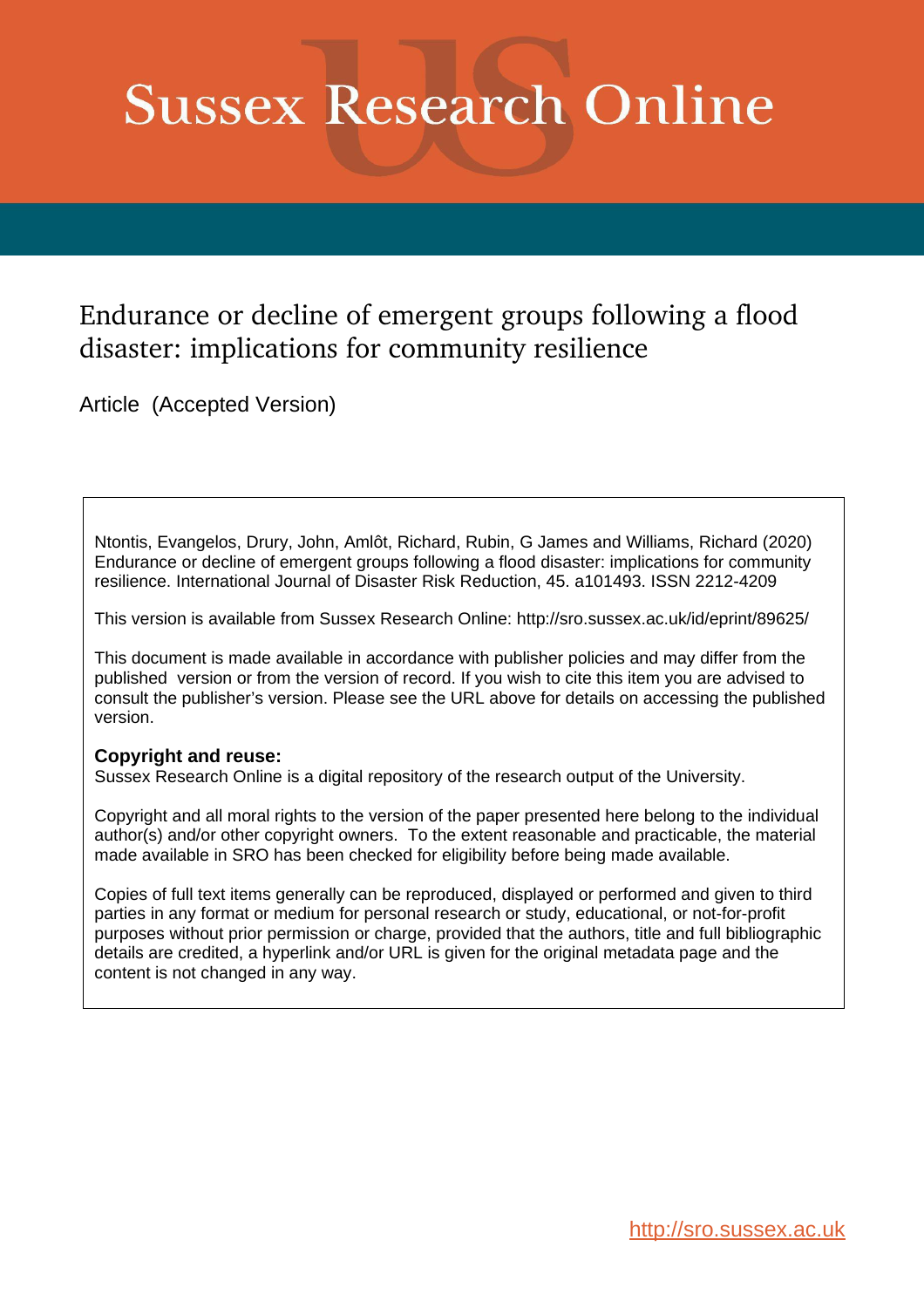# **Sussex Research Online**

# Endurance or decline of emergent groups following a flood disaster: implications for community resilience

Article (Accepted Version)

Ntontis, Evangelos, Drury, John, Amlôt, Richard, Rubin, G James and Williams, Richard (2020) Endurance or decline of emergent groups following a flood disaster: implications for community resilience. International Journal of Disaster Risk Reduction, 45. a101493. ISSN 2212-4209

This version is available from Sussex Research Online: http://sro.sussex.ac.uk/id/eprint/89625/

This document is made available in accordance with publisher policies and may differ from the published version or from the version of record. If you wish to cite this item you are advised to consult the publisher's version. Please see the URL above for details on accessing the published version.

# **Copyright and reuse:**

Sussex Research Online is a digital repository of the research output of the University.

Copyright and all moral rights to the version of the paper presented here belong to the individual author(s) and/or other copyright owners. To the extent reasonable and practicable, the material made available in SRO has been checked for eligibility before being made available.

Copies of full text items generally can be reproduced, displayed or performed and given to third parties in any format or medium for personal research or study, educational, or not-for-profit purposes without prior permission or charge, provided that the authors, title and full bibliographic details are credited, a hyperlink and/or URL is given for the original metadata page and the content is not changed in any way.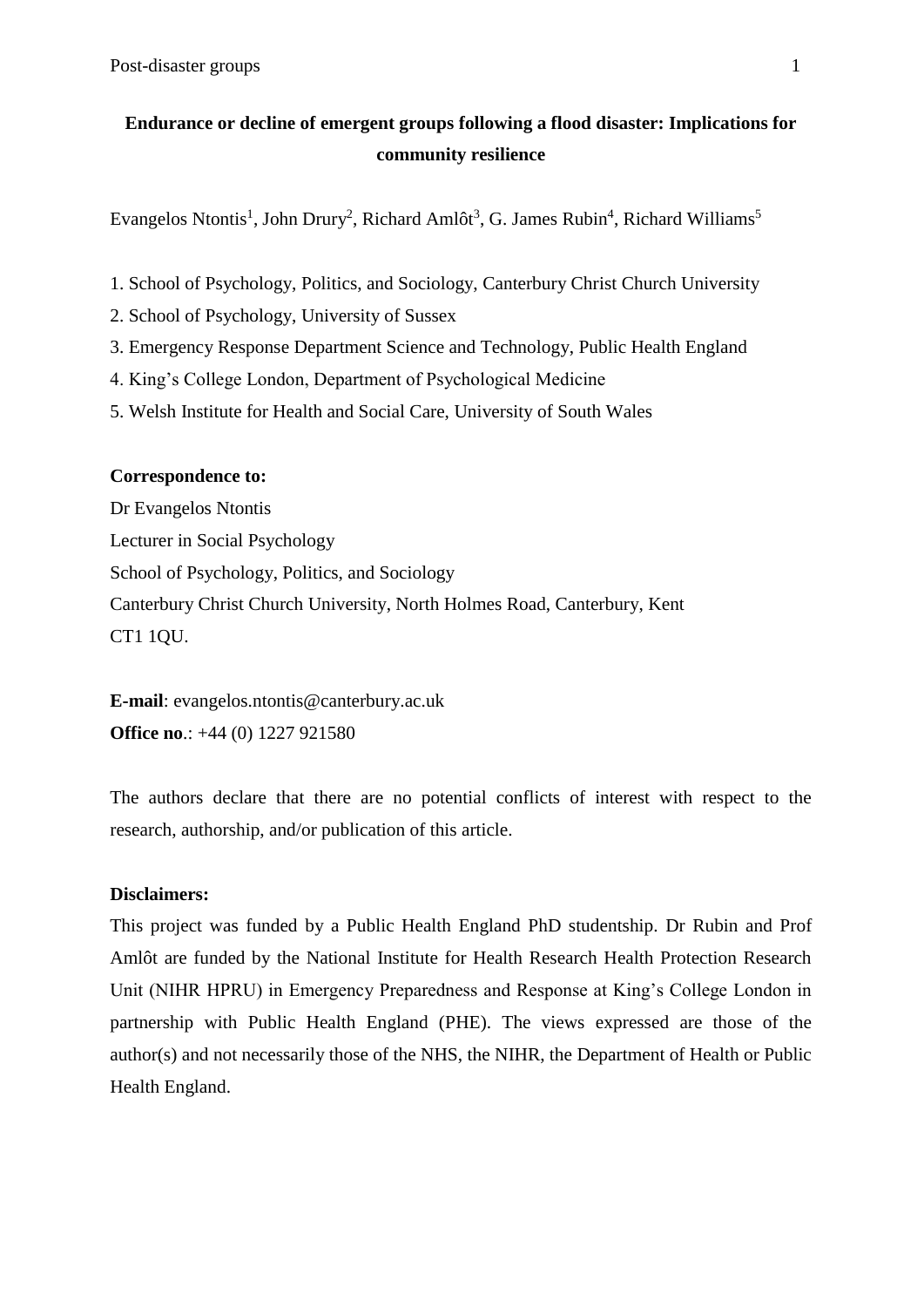# **Endurance or decline of emergent groups following a flood disaster: Implications for community resilience**

Evangelos Ntontis<sup>1</sup>, John Drury<sup>2</sup>, Richard Amlôt<sup>3</sup>, G. James Rubin<sup>4</sup>, Richard Williams<sup>5</sup>

- 1. School of Psychology, Politics, and Sociology, Canterbury Christ Church University
- 2. School of Psychology, University of Sussex
- 3. Emergency Response Department Science and Technology, Public Health England
- 4. King's College London, Department of Psychological Medicine
- 5. Welsh Institute for Health and Social Care, University of South Wales

# **Correspondence to:**

Dr Evangelos Ntontis Lecturer in Social Psychology School of Psychology, Politics, and Sociology Canterbury Christ Church University, North Holmes Road, Canterbury, Kent CT1 1QU.

**E-mail**: evangelos.ntontis@canterbury.ac.uk **Office no**.: +44 (0) 1227 921580

The authors declare that there are no potential conflicts of interest with respect to the research, authorship, and/or publication of this article.

# **Disclaimers:**

This project was funded by a Public Health England PhD studentship. Dr Rubin and Prof Amlôt are funded by the National Institute for Health Research Health Protection Research Unit (NIHR HPRU) in Emergency Preparedness and Response at King's College London in partnership with Public Health England (PHE). The views expressed are those of the author(s) and not necessarily those of the NHS, the NIHR, the Department of Health or Public Health England.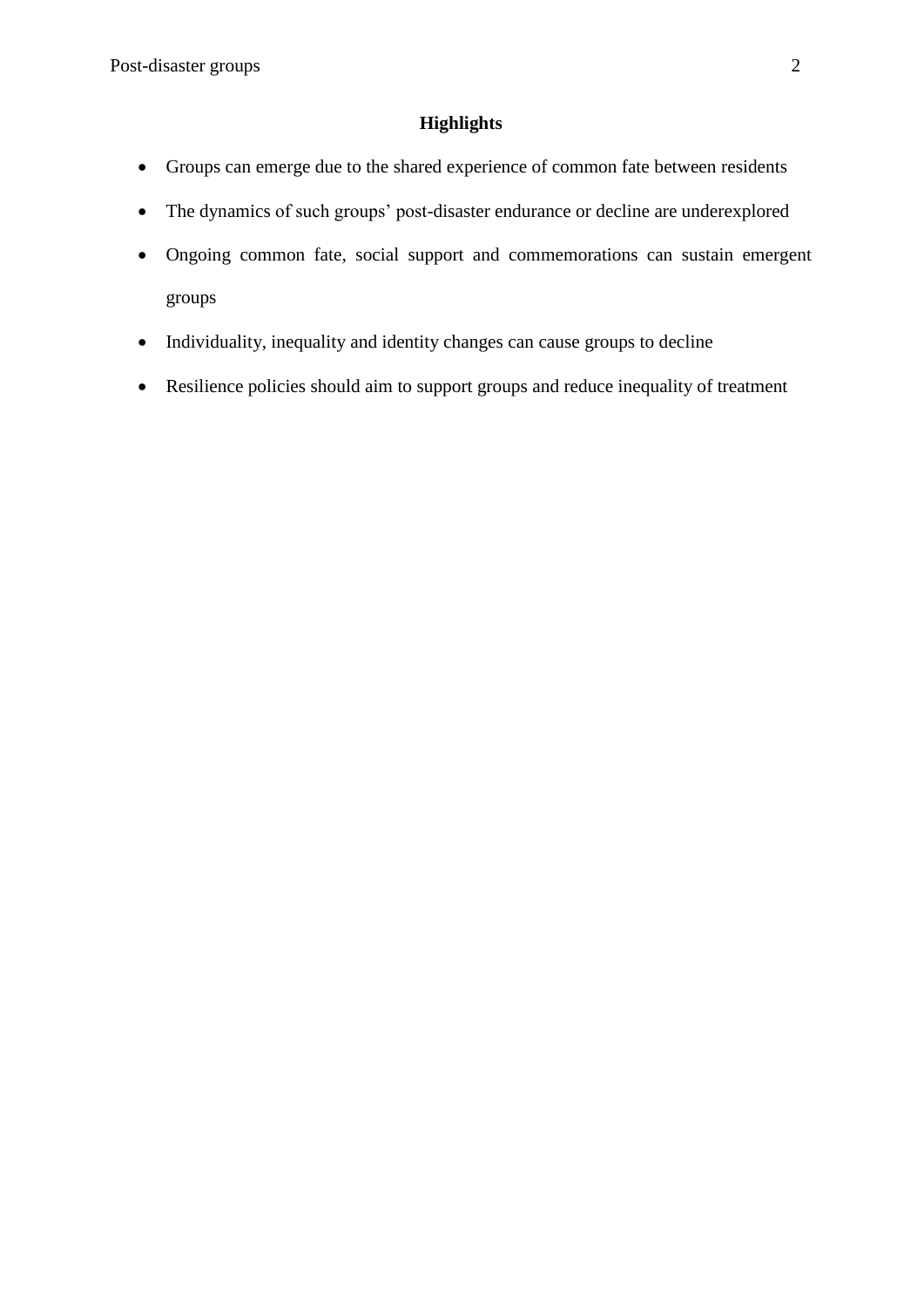# **Highlights**

- Groups can emerge due to the shared experience of common fate between residents
- The dynamics of such groups' post-disaster endurance or decline are underexplored
- Ongoing common fate, social support and commemorations can sustain emergent groups
- Individuality, inequality and identity changes can cause groups to decline
- Resilience policies should aim to support groups and reduce inequality of treatment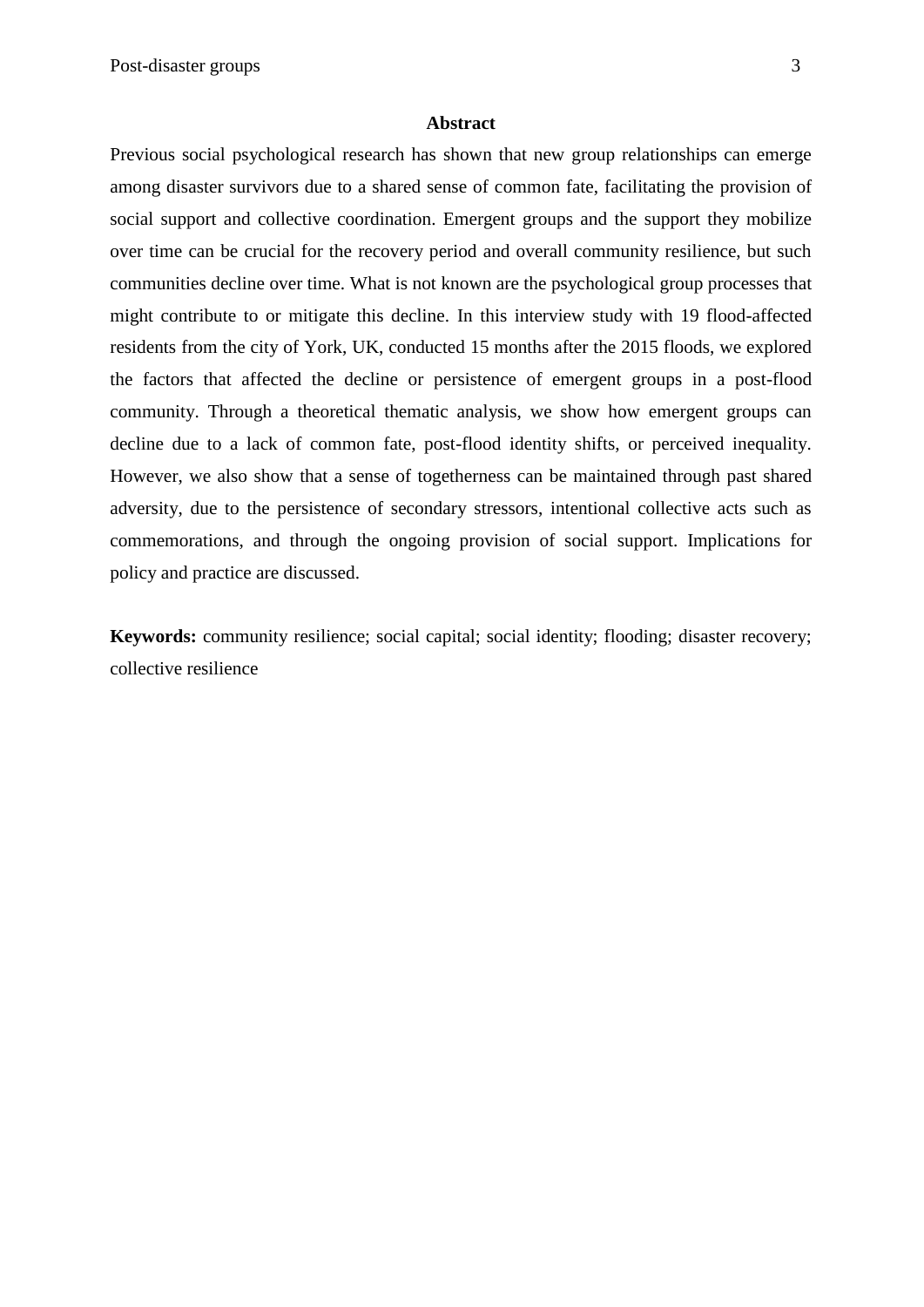#### **Abstract**

Previous social psychological research has shown that new group relationships can emerge among disaster survivors due to a shared sense of common fate, facilitating the provision of social support and collective coordination. Emergent groups and the support they mobilize over time can be crucial for the recovery period and overall community resilience, but such communities decline over time. What is not known are the psychological group processes that might contribute to or mitigate this decline. In this interview study with 19 flood-affected residents from the city of York, UK, conducted 15 months after the 2015 floods, we explored the factors that affected the decline or persistence of emergent groups in a post-flood community. Through a theoretical thematic analysis, we show how emergent groups can decline due to a lack of common fate, post-flood identity shifts, or perceived inequality. However, we also show that a sense of togetherness can be maintained through past shared adversity, due to the persistence of secondary stressors, intentional collective acts such as commemorations, and through the ongoing provision of social support. Implications for policy and practice are discussed.

**Keywords:** community resilience; social capital; social identity; flooding; disaster recovery; collective resilience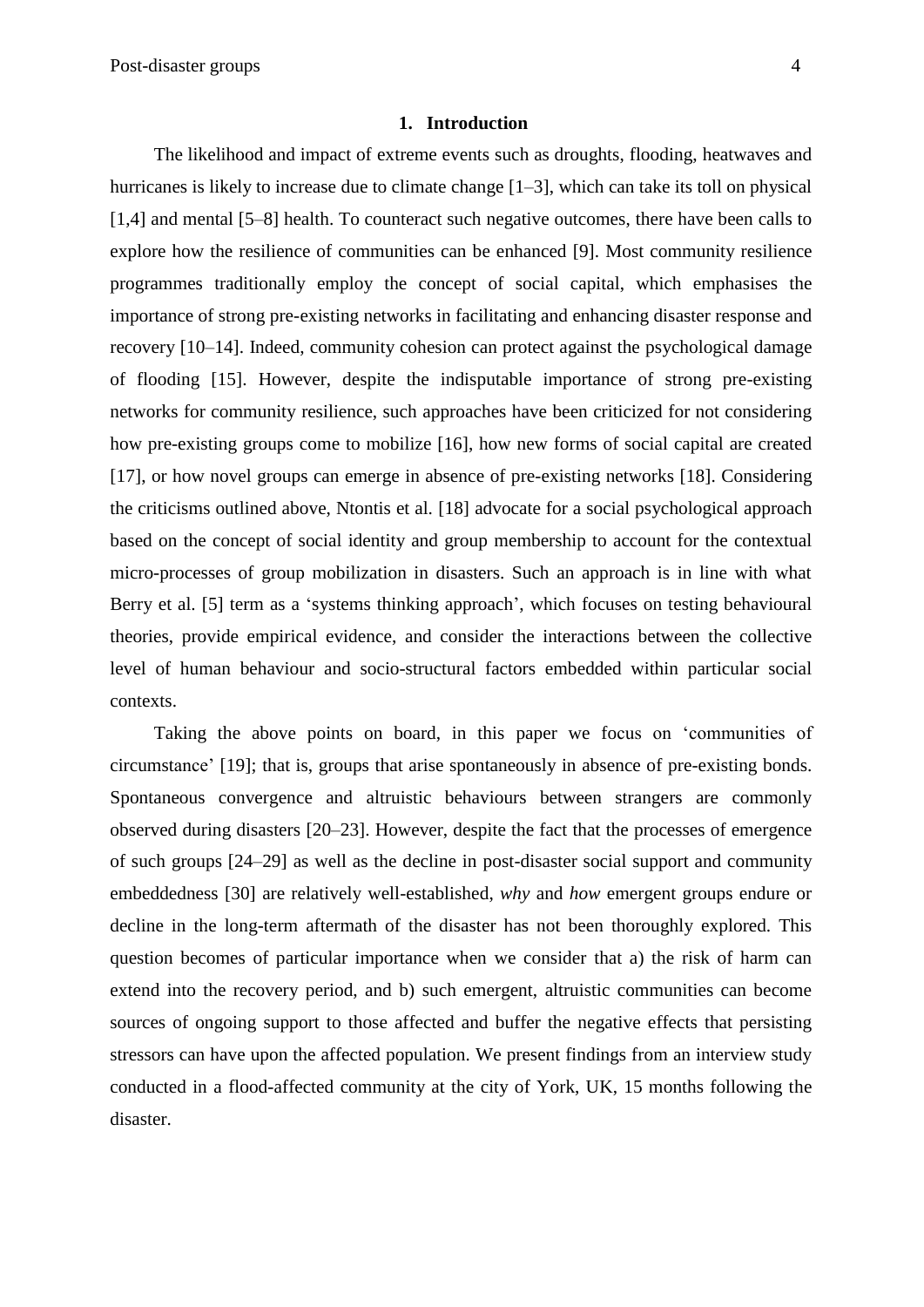#### **1. Introduction**

The likelihood and impact of extreme events such as droughts, flooding, heatwaves and hurricanes is likely to increase due to climate change  $[1-3]$ , which can take its toll on physical [1,4] and mental [5–8] health. To counteract such negative outcomes, there have been calls to explore how the resilience of communities can be enhanced [9]. Most community resilience programmes traditionally employ the concept of social capital, which emphasises the importance of strong pre-existing networks in facilitating and enhancing disaster response and recovery [10–14]. Indeed, community cohesion can protect against the psychological damage of flooding [15]. However, despite the indisputable importance of strong pre-existing networks for community resilience, such approaches have been criticized for not considering how pre-existing groups come to mobilize [16], how new forms of social capital are created [17], or how novel groups can emerge in absence of pre-existing networks [18]. Considering the criticisms outlined above, Ntontis et al. [18] advocate for a social psychological approach based on the concept of social identity and group membership to account for the contextual micro-processes of group mobilization in disasters. Such an approach is in line with what Berry et al. [5] term as a 'systems thinking approach', which focuses on testing behavioural theories, provide empirical evidence, and consider the interactions between the collective level of human behaviour and socio-structural factors embedded within particular social contexts.

Taking the above points on board, in this paper we focus on 'communities of circumstance' [19]; that is, groups that arise spontaneously in absence of pre-existing bonds. Spontaneous convergence and altruistic behaviours between strangers are commonly observed during disasters [20–23]. However, despite the fact that the processes of emergence of such groups [24–29] as well as the decline in post-disaster social support and community embeddedness [30] are relatively well-established, *why* and *how* emergent groups endure or decline in the long-term aftermath of the disaster has not been thoroughly explored. This question becomes of particular importance when we consider that a) the risk of harm can extend into the recovery period, and b) such emergent, altruistic communities can become sources of ongoing support to those affected and buffer the negative effects that persisting stressors can have upon the affected population. We present findings from an interview study conducted in a flood-affected community at the city of York, UK, 15 months following the disaster.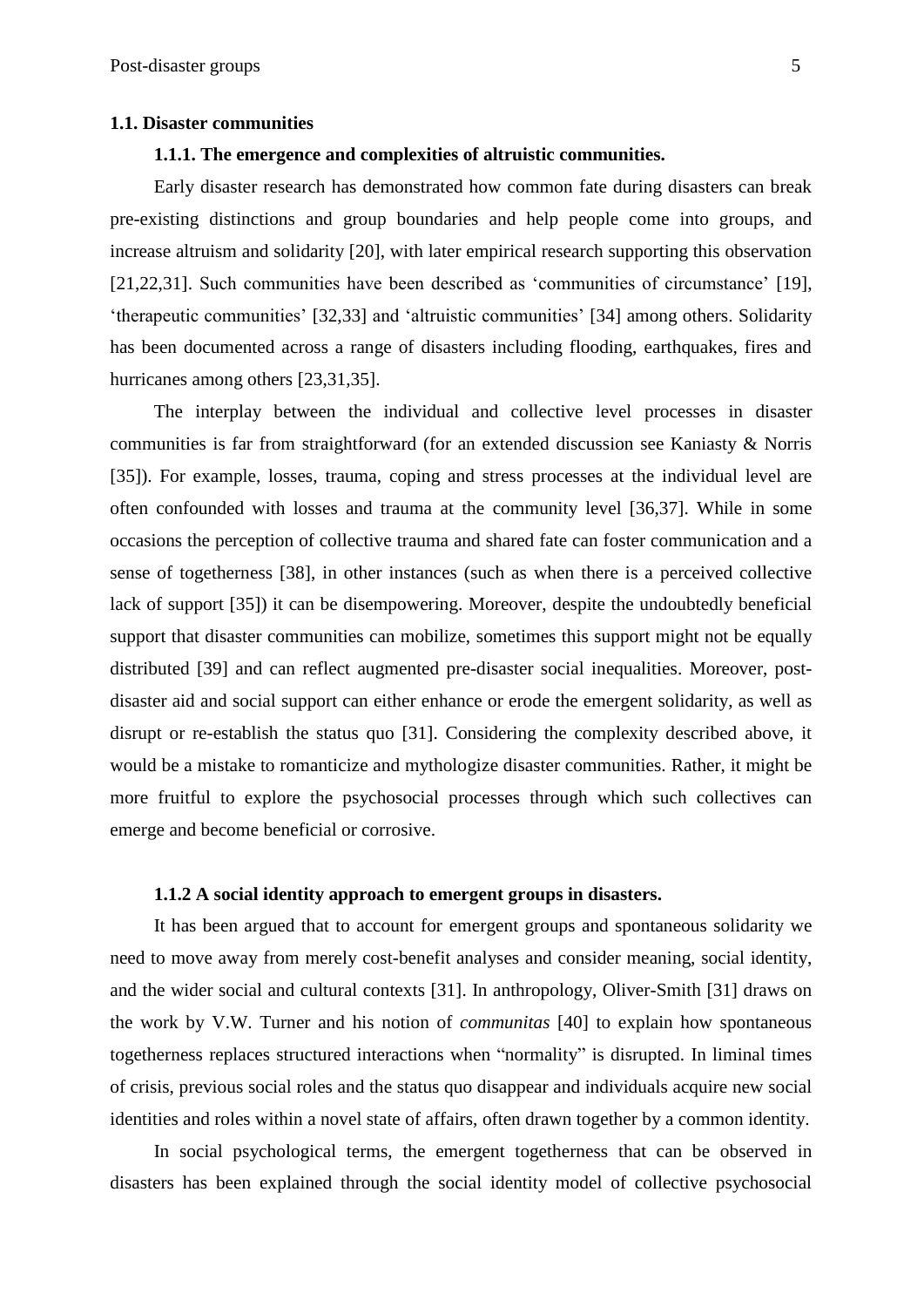#### **1.1. Disaster communities**

### **1.1.1. The emergence and complexities of altruistic communities.**

Early disaster research has demonstrated how common fate during disasters can break pre-existing distinctions and group boundaries and help people come into groups, and increase altruism and solidarity [20], with later empirical research supporting this observation [21,22,31]. Such communities have been described as 'communities of circumstance' [19], 'therapeutic communities' [32,33] and 'altruistic communities' [34] among others. Solidarity has been documented across a range of disasters including flooding, earthquakes, fires and hurricanes among others [23,31,35].

The interplay between the individual and collective level processes in disaster communities is far from straightforward (for an extended discussion see Kaniasty & Norris [35]). For example, losses, trauma, coping and stress processes at the individual level are often confounded with losses and trauma at the community level [36,37]. While in some occasions the perception of collective trauma and shared fate can foster communication and a sense of togetherness [38], in other instances (such as when there is a perceived collective lack of support [35]) it can be disempowering. Moreover, despite the undoubtedly beneficial support that disaster communities can mobilize, sometimes this support might not be equally distributed [39] and can reflect augmented pre-disaster social inequalities. Moreover, postdisaster aid and social support can either enhance or erode the emergent solidarity, as well as disrupt or re-establish the status quo [31]. Considering the complexity described above, it would be a mistake to romanticize and mythologize disaster communities. Rather, it might be more fruitful to explore the psychosocial processes through which such collectives can emerge and become beneficial or corrosive.

# **1.1.2 A social identity approach to emergent groups in disasters.**

It has been argued that to account for emergent groups and spontaneous solidarity we need to move away from merely cost-benefit analyses and consider meaning, social identity, and the wider social and cultural contexts [31]. In anthropology, Oliver-Smith [31] draws on the work by V.W. Turner and his notion of *communitas* [40] to explain how spontaneous togetherness replaces structured interactions when "normality" is disrupted. In liminal times of crisis, previous social roles and the status quo disappear and individuals acquire new social identities and roles within a novel state of affairs, often drawn together by a common identity.

In social psychological terms, the emergent togetherness that can be observed in disasters has been explained through the social identity model of collective psychosocial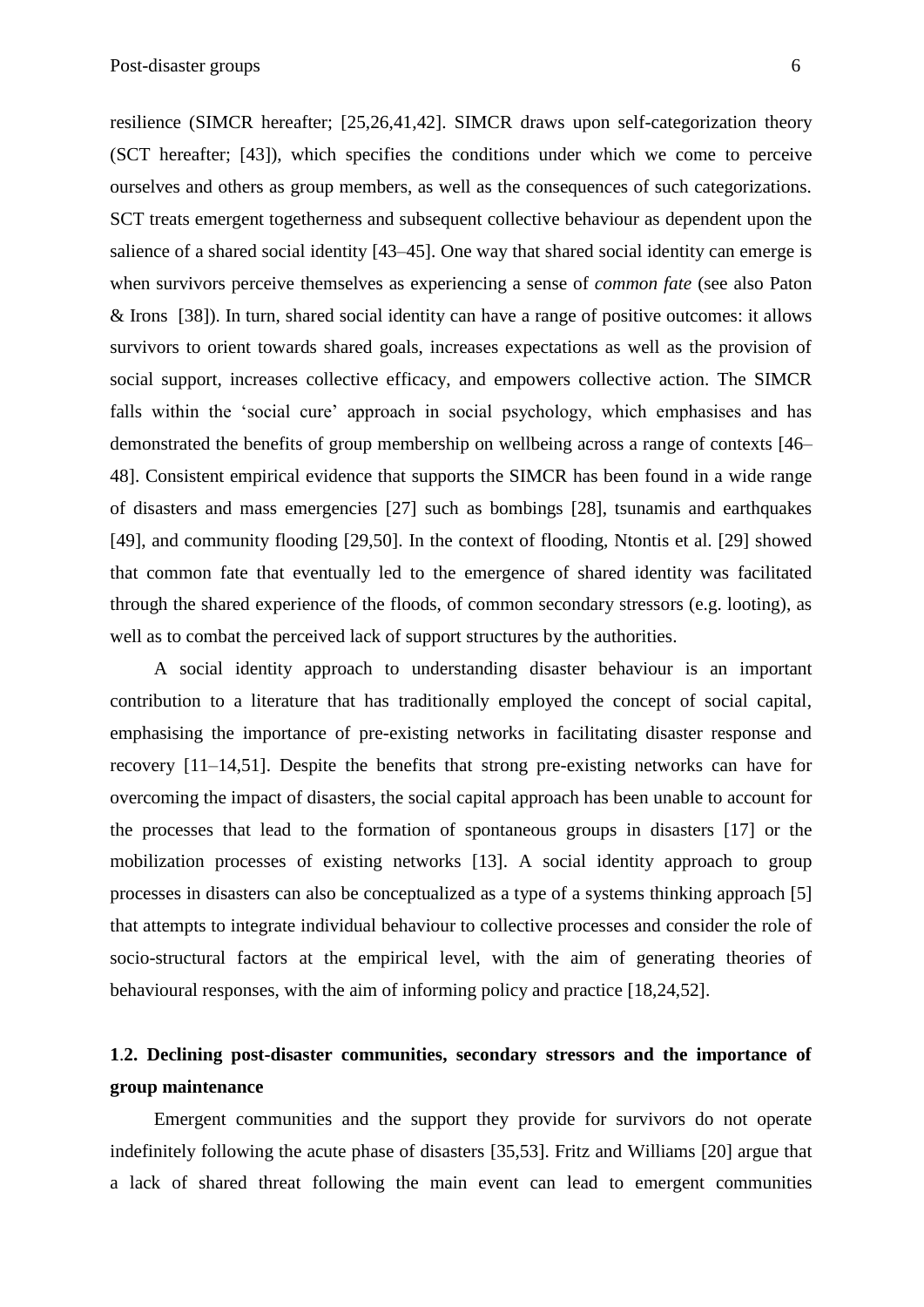resilience (SIMCR hereafter; [25,26,41,42]. SIMCR draws upon self-categorization theory (SCT hereafter; [43]), which specifies the conditions under which we come to perceive ourselves and others as group members, as well as the consequences of such categorizations. SCT treats emergent togetherness and subsequent collective behaviour as dependent upon the salience of a shared social identity [43–45]. One way that shared social identity can emerge is when survivors perceive themselves as experiencing a sense of *common fate* (see also Paton & Irons [38]). In turn, shared social identity can have a range of positive outcomes: it allows survivors to orient towards shared goals, increases expectations as well as the provision of social support, increases collective efficacy, and empowers collective action. The SIMCR falls within the 'social cure' approach in social psychology, which emphasises and has demonstrated the benefits of group membership on wellbeing across a range of contexts [46– 48]. Consistent empirical evidence that supports the SIMCR has been found in a wide range of disasters and mass emergencies [27] such as bombings [28], tsunamis and earthquakes [49], and community flooding [29,50]. In the context of flooding, Ntontis et al. [29] showed that common fate that eventually led to the emergence of shared identity was facilitated through the shared experience of the floods, of common secondary stressors (e.g. looting), as well as to combat the perceived lack of support structures by the authorities.

A social identity approach to understanding disaster behaviour is an important contribution to a literature that has traditionally employed the concept of social capital, emphasising the importance of pre-existing networks in facilitating disaster response and recovery [11–14,51]. Despite the benefits that strong pre-existing networks can have for overcoming the impact of disasters, the social capital approach has been unable to account for the processes that lead to the formation of spontaneous groups in disasters [17] or the mobilization processes of existing networks [13]. A social identity approach to group processes in disasters can also be conceptualized as a type of a systems thinking approach [5] that attempts to integrate individual behaviour to collective processes and consider the role of socio-structural factors at the empirical level, with the aim of generating theories of behavioural responses, with the aim of informing policy and practice [18,24,52].

# **1**.**2. Declining post-disaster communities, secondary stressors and the importance of group maintenance**

Emergent communities and the support they provide for survivors do not operate indefinitely following the acute phase of disasters [35,53]. Fritz and Williams [20] argue that a lack of shared threat following the main event can lead to emergent communities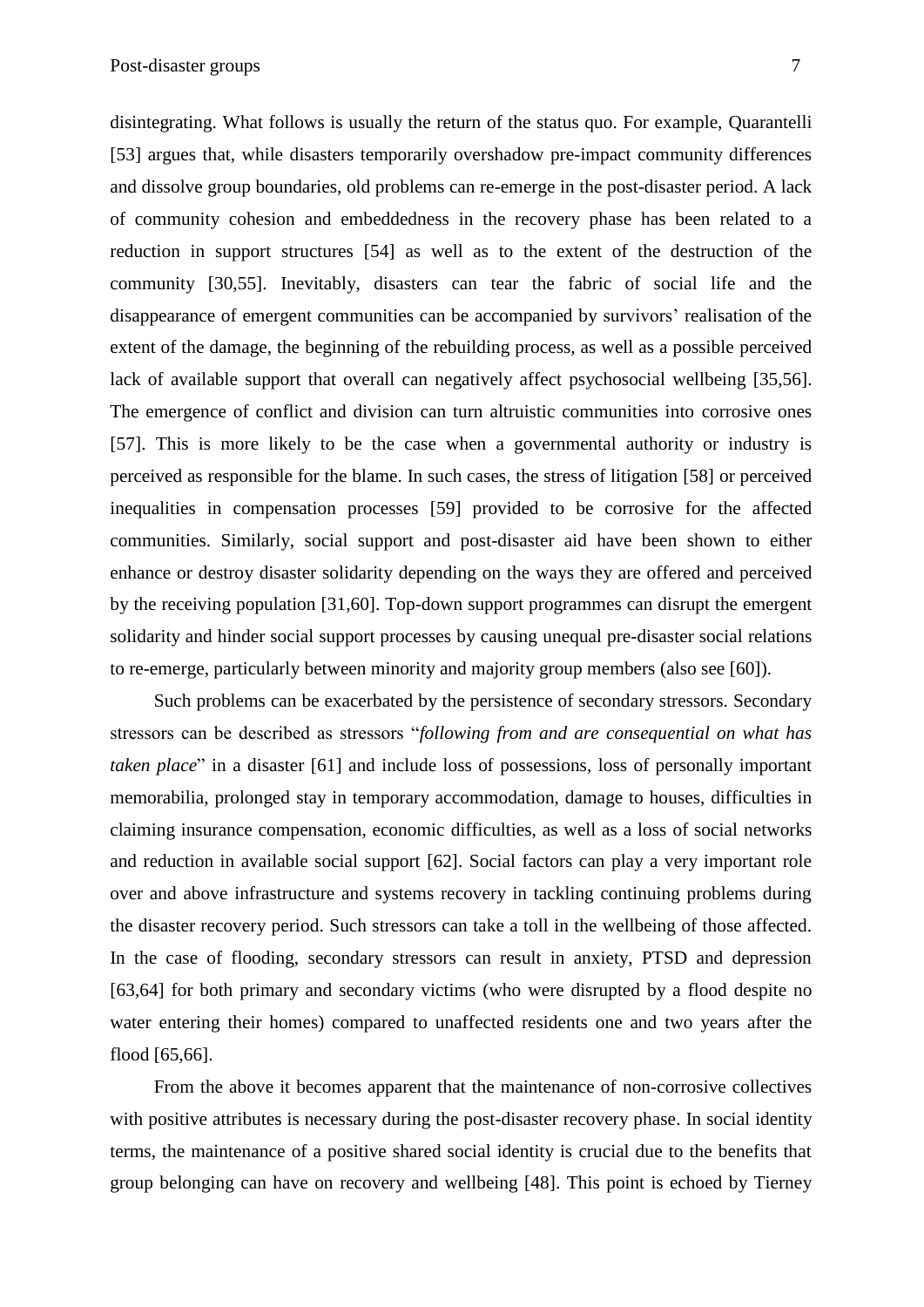disintegrating. What follows is usually the return of the status quo. For example, Quarantelli [53] argues that, while disasters temporarily overshadow pre-impact community differences and dissolve group boundaries, old problems can re-emerge in the post-disaster period. A lack of community cohesion and embeddedness in the recovery phase has been related to a reduction in support structures [54] as well as to the extent of the destruction of the community [30,55]. Inevitably, disasters can tear the fabric of social life and the disappearance of emergent communities can be accompanied by survivors' realisation of the extent of the damage, the beginning of the rebuilding process, as well as a possible perceived lack of available support that overall can negatively affect psychosocial wellbeing [35,56]. The emergence of conflict and division can turn altruistic communities into corrosive ones [57]. This is more likely to be the case when a governmental authority or industry is perceived as responsible for the blame. In such cases, the stress of litigation [58] or perceived inequalities in compensation processes [59] provided to be corrosive for the affected communities. Similarly, social support and post-disaster aid have been shown to either enhance or destroy disaster solidarity depending on the ways they are offered and perceived by the receiving population [31,60]. Top-down support programmes can disrupt the emergent solidarity and hinder social support processes by causing unequal pre-disaster social relations to re-emerge, particularly between minority and majority group members (also see [60]).

Such problems can be exacerbated by the persistence of secondary stressors. Secondary stressors can be described as stressors "*following from and are consequential on what has taken place*" in a disaster [61] and include loss of possessions, loss of personally important memorabilia, prolonged stay in temporary accommodation, damage to houses, difficulties in claiming insurance compensation, economic difficulties, as well as a loss of social networks and reduction in available social support [62]. Social factors can play a very important role over and above infrastructure and systems recovery in tackling continuing problems during the disaster recovery period. Such stressors can take a toll in the wellbeing of those affected. In the case of flooding, secondary stressors can result in anxiety, PTSD and depression [63,64] for both primary and secondary victims (who were disrupted by a flood despite no water entering their homes) compared to unaffected residents one and two years after the flood [65,66].

From the above it becomes apparent that the maintenance of non-corrosive collectives with positive attributes is necessary during the post-disaster recovery phase. In social identity terms, the maintenance of a positive shared social identity is crucial due to the benefits that group belonging can have on recovery and wellbeing [48]. This point is echoed by Tierney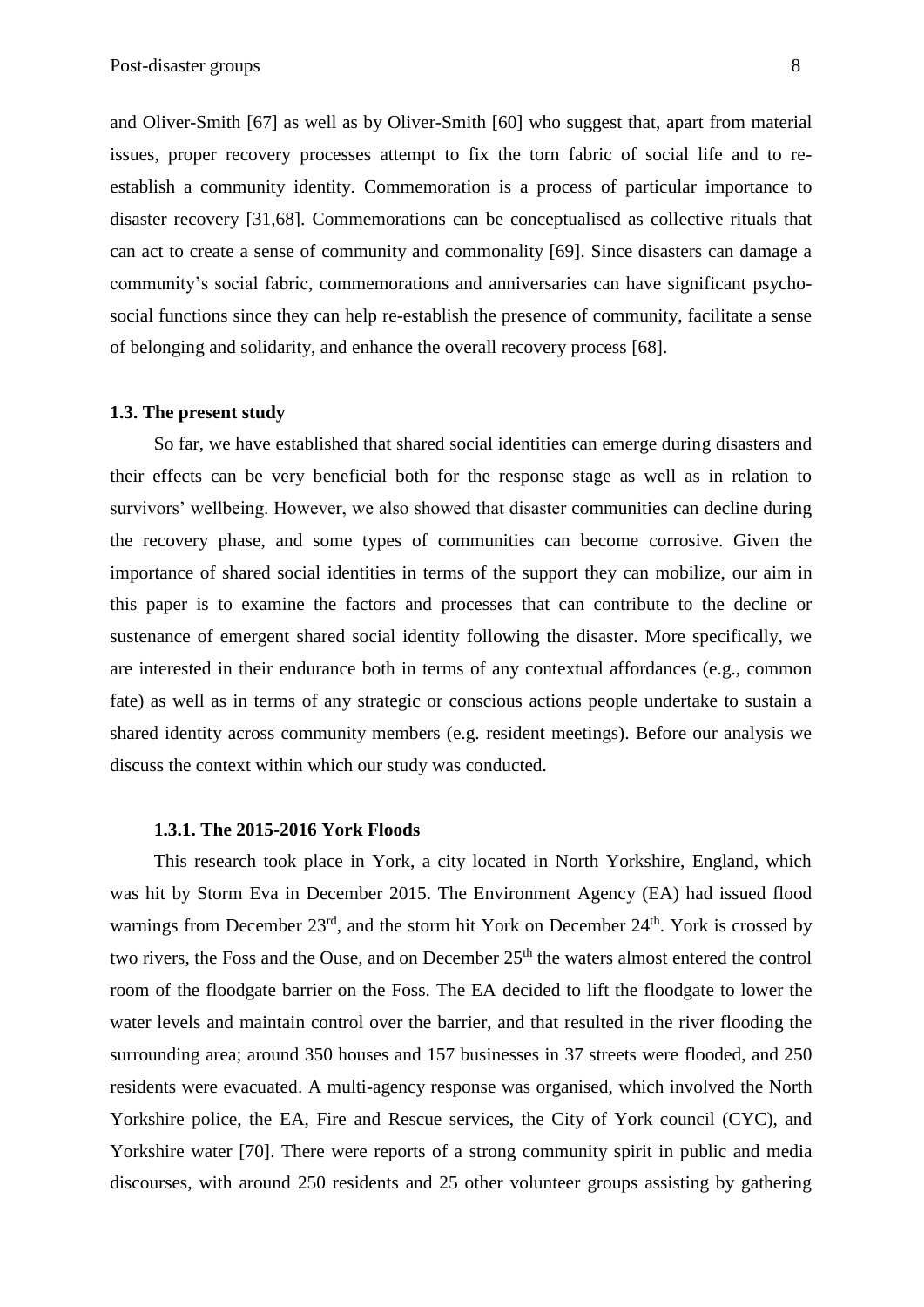and Oliver-Smith [67] as well as by Oliver-Smith [60] who suggest that, apart from material issues, proper recovery processes attempt to fix the torn fabric of social life and to reestablish a community identity. Commemoration is a process of particular importance to disaster recovery [31,68]. Commemorations can be conceptualised as collective rituals that can act to create a sense of community and commonality [69]. Since disasters can damage a community's social fabric, commemorations and anniversaries can have significant psychosocial functions since they can help re-establish the presence of community, facilitate a sense of belonging and solidarity, and enhance the overall recovery process [68].

#### **1.3. The present study**

So far, we have established that shared social identities can emerge during disasters and their effects can be very beneficial both for the response stage as well as in relation to survivors' wellbeing. However, we also showed that disaster communities can decline during the recovery phase, and some types of communities can become corrosive. Given the importance of shared social identities in terms of the support they can mobilize, our aim in this paper is to examine the factors and processes that can contribute to the decline or sustenance of emergent shared social identity following the disaster. More specifically, we are interested in their endurance both in terms of any contextual affordances (e.g., common fate) as well as in terms of any strategic or conscious actions people undertake to sustain a shared identity across community members (e.g. resident meetings). Before our analysis we discuss the context within which our study was conducted.

### **1.3.1. The 2015-2016 York Floods**

This research took place in York, a city located in North Yorkshire, England, which was hit by Storm Eva in December 2015. The Environment Agency (EA) had issued flood warnings from December  $23<sup>rd</sup>$ , and the storm hit York on December  $24<sup>th</sup>$ . York is crossed by two rivers, the Foss and the Ouse, and on December 25<sup>th</sup> the waters almost entered the control room of the floodgate barrier on the Foss. The EA decided to lift the floodgate to lower the water levels and maintain control over the barrier, and that resulted in the river flooding the surrounding area; around 350 houses and 157 businesses in 37 streets were flooded, and 250 residents were evacuated. A multi-agency response was organised, which involved the North Yorkshire police, the EA, Fire and Rescue services, the City of York council (CYC), and Yorkshire water [70]. There were reports of a strong community spirit in public and media discourses, with around 250 residents and 25 other volunteer groups assisting by gathering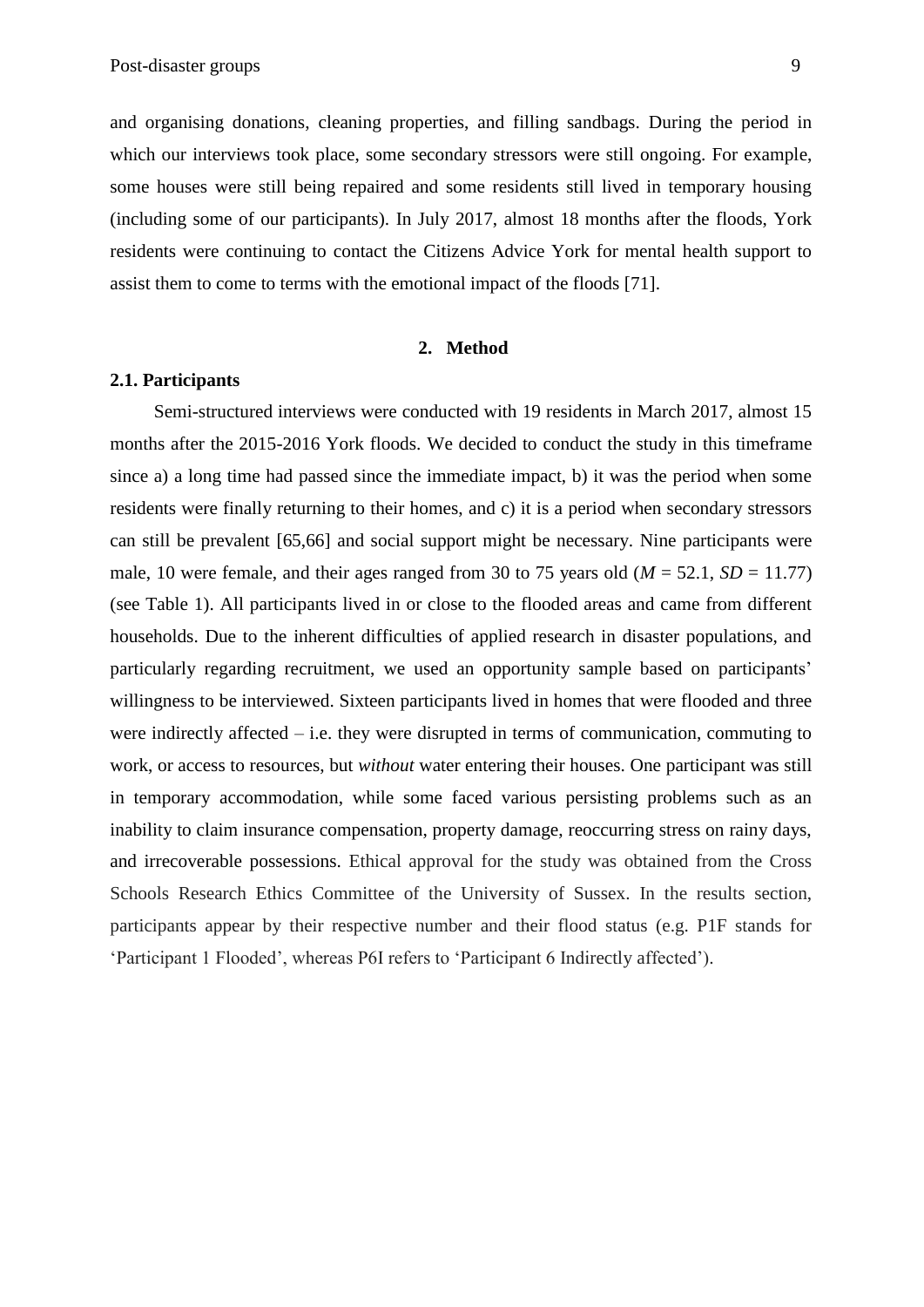and organising donations, cleaning properties, and filling sandbags. During the period in which our interviews took place, some secondary stressors were still ongoing. For example, some houses were still being repaired and some residents still lived in temporary housing (including some of our participants). In July 2017, almost 18 months after the floods, York residents were continuing to contact the Citizens Advice York for mental health support to assist them to come to terms with the emotional impact of the floods [71].

#### **2. Method**

#### **2.1. Participants**

Semi-structured interviews were conducted with 19 residents in March 2017, almost 15 months after the 2015-2016 York floods. We decided to conduct the study in this timeframe since a) a long time had passed since the immediate impact, b) it was the period when some residents were finally returning to their homes, and c) it is a period when secondary stressors can still be prevalent [65,66] and social support might be necessary. Nine participants were male, 10 were female, and their ages ranged from 30 to 75 years old  $(M = 52.1, SD = 11.77)$ (see Table 1). All participants lived in or close to the flooded areas and came from different households. Due to the inherent difficulties of applied research in disaster populations, and particularly regarding recruitment, we used an opportunity sample based on participants' willingness to be interviewed. Sixteen participants lived in homes that were flooded and three were indirectly affected – i.e. they were disrupted in terms of communication, commuting to work, or access to resources, but *without* water entering their houses. One participant was still in temporary accommodation, while some faced various persisting problems such as an inability to claim insurance compensation, property damage, reoccurring stress on rainy days, and irrecoverable possessions. Ethical approval for the study was obtained from the Cross Schools Research Ethics Committee of the University of Sussex. In the results section, participants appear by their respective number and their flood status (e.g. P1F stands for 'Participant 1 Flooded', whereas P6I refers to 'Participant 6 Indirectly affected').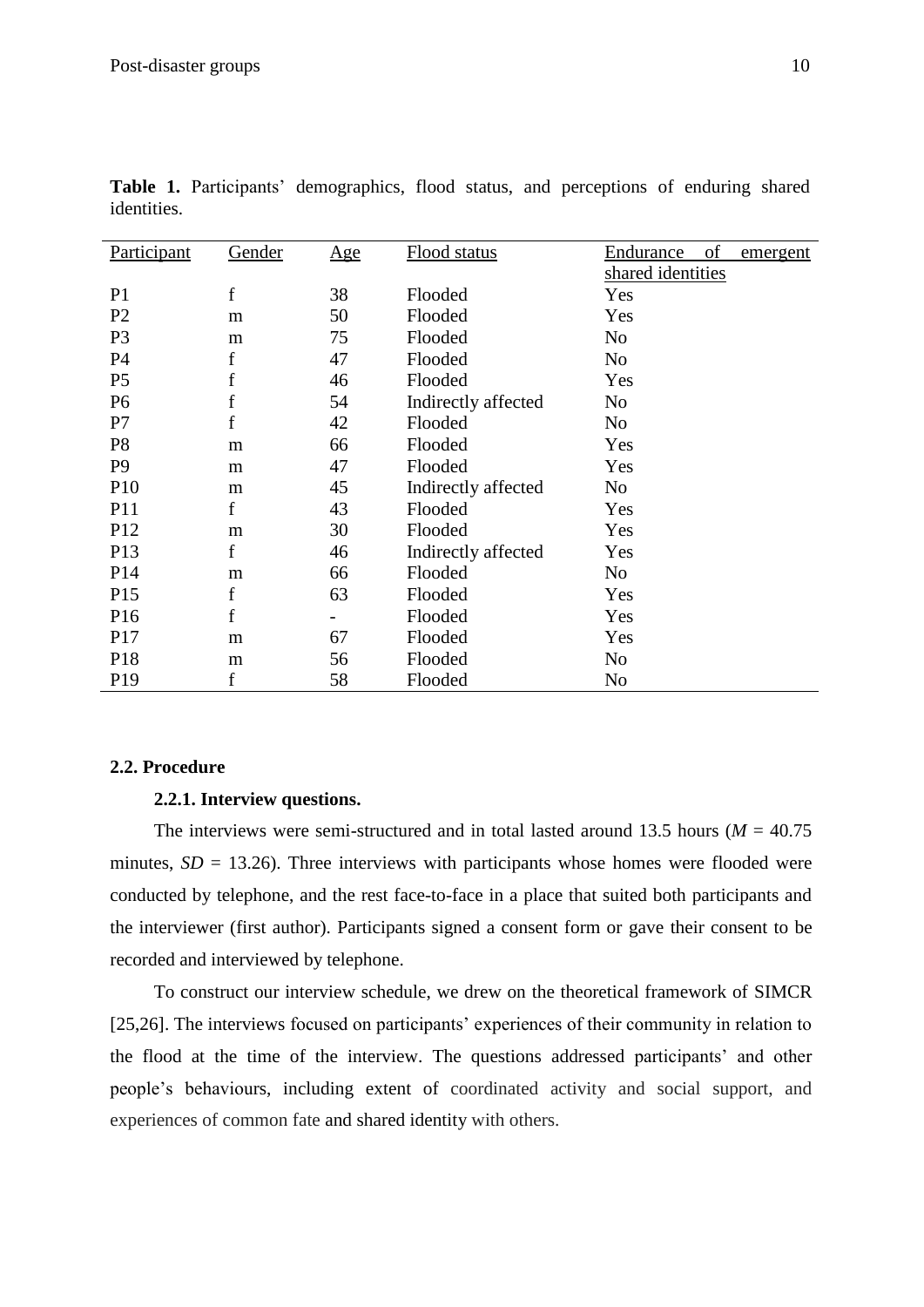| Participant     | Gender      | Age | Flood status        | of<br>Endurance<br>emergent |
|-----------------|-------------|-----|---------------------|-----------------------------|
|                 |             |     |                     | shared identities           |
| P <sub>1</sub>  | $\mathbf f$ | 38  | Flooded             | Yes                         |
| P <sub>2</sub>  | m           | 50  | Flooded             | Yes                         |
| P <sub>3</sub>  | m           | 75  | Flooded             | No                          |
| P4              | f           | 47  | Flooded             | No                          |
| P <sub>5</sub>  | f           | 46  | Flooded             | Yes                         |
| P <sub>6</sub>  | f           | 54  | Indirectly affected | No                          |
| P7              | f           | 42  | Flooded             | No                          |
| P <sub>8</sub>  | m           | 66  | Flooded             | Yes                         |
| P <sub>9</sub>  | m           | 47  | Flooded             | Yes                         |
| P <sub>10</sub> | m           | 45  | Indirectly affected | No                          |
| P <sub>11</sub> | f           | 43  | Flooded             | Yes                         |
| P <sub>12</sub> | m           | 30  | Flooded             | Yes                         |
| P13             | f           | 46  | Indirectly affected | Yes                         |
| P <sub>14</sub> | m           | 66  | Flooded             | No                          |
| P15             | f           | 63  | Flooded             | Yes                         |
| P <sub>16</sub> | f           |     | Flooded             | Yes                         |
| P17             | m           | 67  | Flooded             | Yes                         |
| P <sub>18</sub> | m           | 56  | Flooded             | N <sub>o</sub>              |
| P <sub>19</sub> | f           | 58  | Flooded             | No                          |

**Table 1.** Participants' demographics, flood status, and perceptions of enduring shared identities.

### **2.2. Procedure**

### **2.2.1. Interview questions.**

The interviews were semi-structured and in total lasted around 13.5 hours ( $M = 40.75$ ) minutes,  $SD = 13.26$ ). Three interviews with participants whose homes were flooded were conducted by telephone, and the rest face-to-face in a place that suited both participants and the interviewer (first author). Participants signed a consent form or gave their consent to be recorded and interviewed by telephone.

To construct our interview schedule, we drew on the theoretical framework of SIMCR [25,26]. The interviews focused on participants' experiences of their community in relation to the flood at the time of the interview. The questions addressed participants' and other people's behaviours, including extent of coordinated activity and social support, and experiences of common fate and shared identity with others.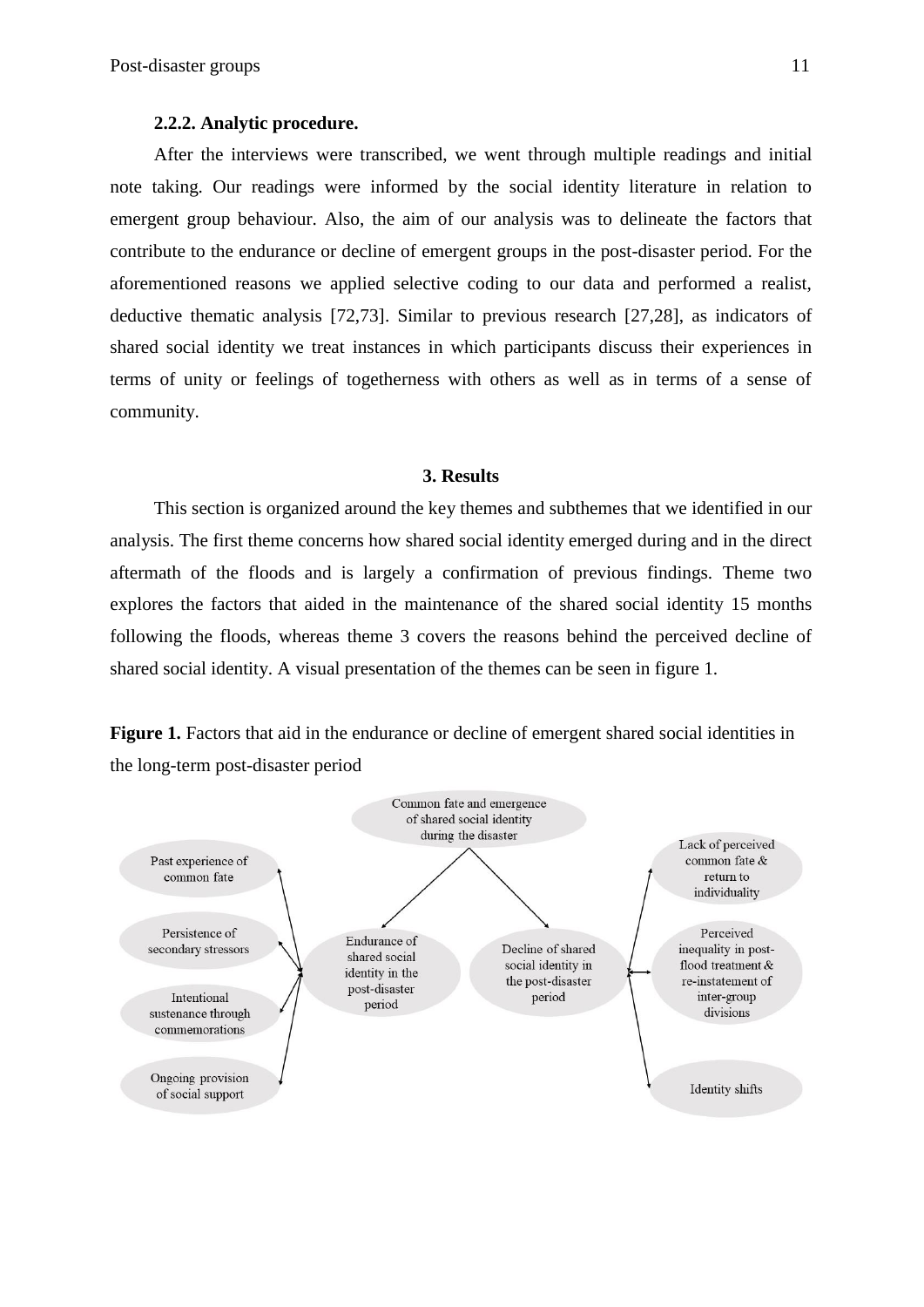#### **2.2.2. Analytic procedure.**

After the interviews were transcribed, we went through multiple readings and initial note taking. Our readings were informed by the social identity literature in relation to emergent group behaviour. Also, the aim of our analysis was to delineate the factors that contribute to the endurance or decline of emergent groups in the post-disaster period. For the aforementioned reasons we applied selective coding to our data and performed a realist, deductive thematic analysis [72,73]. Similar to previous research [27,28], as indicators of shared social identity we treat instances in which participants discuss their experiences in terms of unity or feelings of togetherness with others as well as in terms of a sense of community.

#### **3. Results**

This section is organized around the key themes and subthemes that we identified in our analysis. The first theme concerns how shared social identity emerged during and in the direct aftermath of the floods and is largely a confirmation of previous findings. Theme two explores the factors that aided in the maintenance of the shared social identity 15 months following the floods, whereas theme 3 covers the reasons behind the perceived decline of shared social identity. A visual presentation of the themes can be seen in figure 1.

**Figure 1.** Factors that aid in the endurance or decline of emergent shared social identities in the long-term post-disaster period

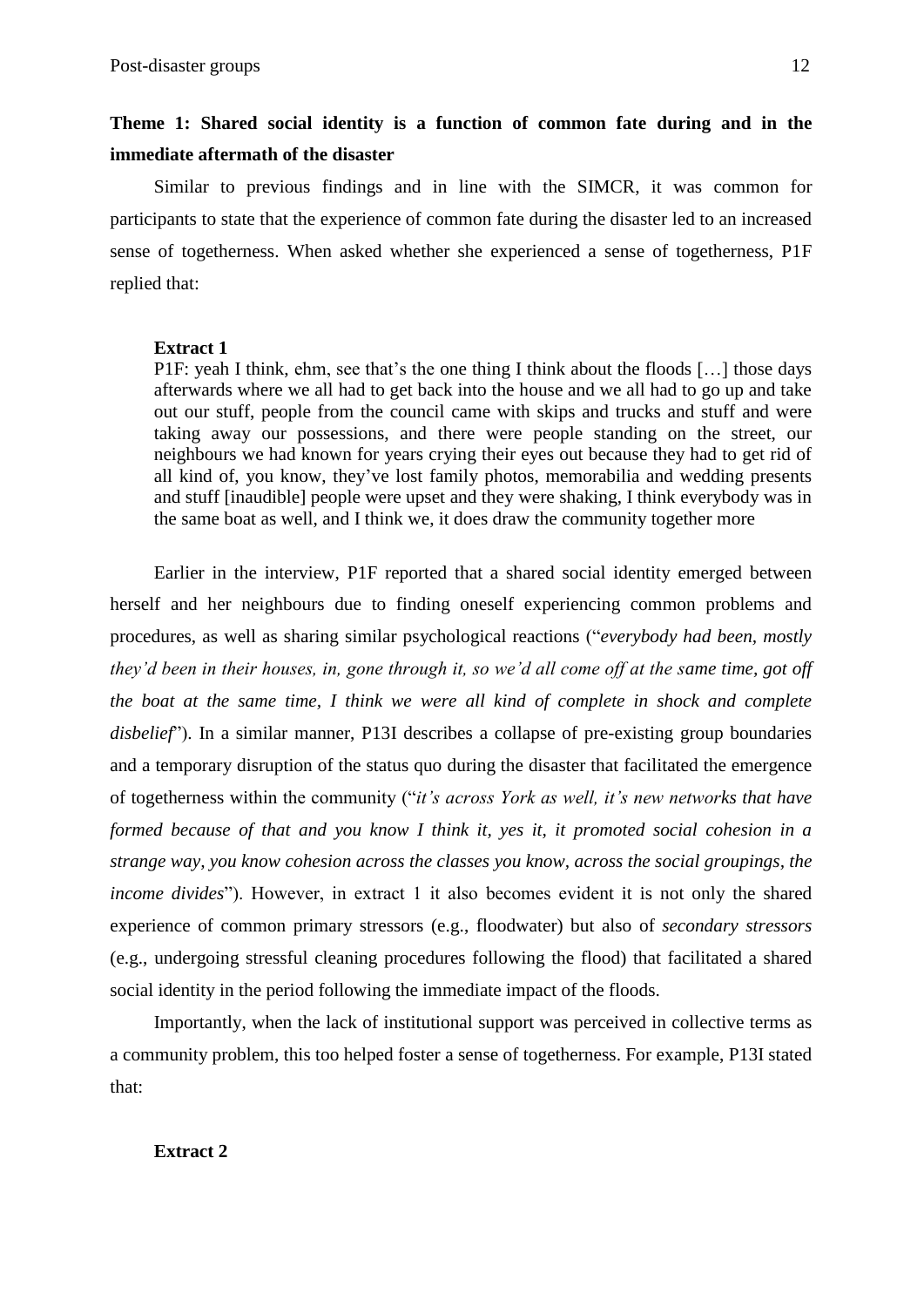# **Theme 1: Shared social identity is a function of common fate during and in the immediate aftermath of the disaster**

Similar to previous findings and in line with the SIMCR, it was common for participants to state that the experience of common fate during the disaster led to an increased sense of togetherness. When asked whether she experienced a sense of togetherness, P1F replied that:

# **Extract 1**

P1F: yeah I think, ehm, see that's the one thing I think about the floods […] those days afterwards where we all had to get back into the house and we all had to go up and take out our stuff, people from the council came with skips and trucks and stuff and were taking away our possessions, and there were people standing on the street, our neighbours we had known for years crying their eyes out because they had to get rid of all kind of, you know, they've lost family photos, memorabilia and wedding presents and stuff [inaudible] people were upset and they were shaking, I think everybody was in the same boat as well, and I think we, it does draw the community together more

Earlier in the interview, P1F reported that a shared social identity emerged between herself and her neighbours due to finding oneself experiencing common problems and procedures, as well as sharing similar psychological reactions ("*everybody had been, mostly they'd been in their houses, in, gone through it, so we'd all come off at the same time, got off the boat at the same time, I think we were all kind of complete in shock and complete disbelief*"). In a similar manner, P13I describes a collapse of pre-existing group boundaries and a temporary disruption of the status quo during the disaster that facilitated the emergence of togetherness within the community ("*it's across York as well, it's new networks that have formed because of that and you know I think it, yes it, it promoted social cohesion in a strange way, you know cohesion across the classes you know, across the social groupings, the income divides*"). However, in extract 1 it also becomes evident it is not only the shared experience of common primary stressors (e.g., floodwater) but also of *secondary stressors* (e.g., undergoing stressful cleaning procedures following the flood) that facilitated a shared social identity in the period following the immediate impact of the floods.

Importantly, when the lack of institutional support was perceived in collective terms as a community problem, this too helped foster a sense of togetherness. For example, P13I stated that:

# **Extract 2**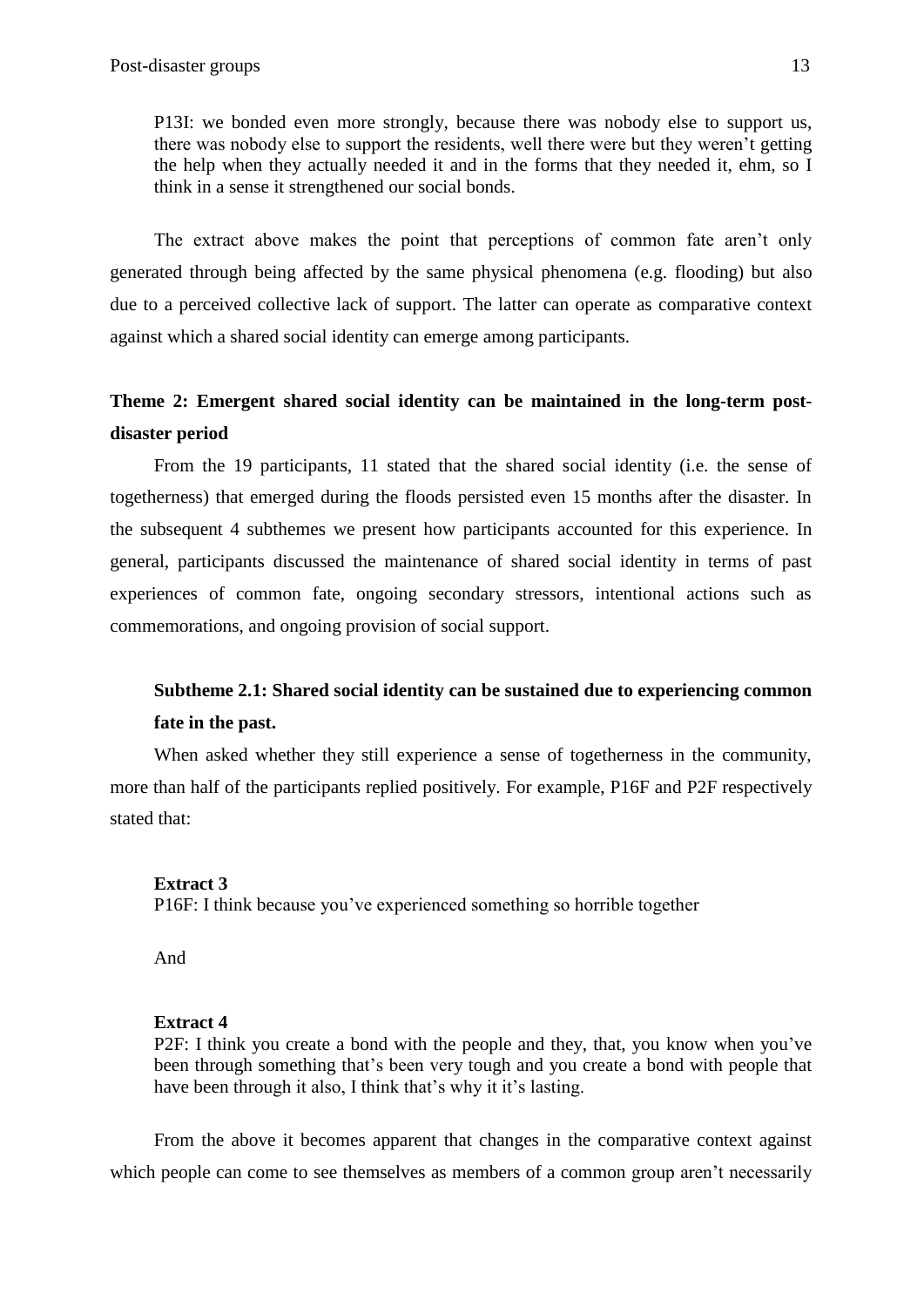P13I: we bonded even more strongly, because there was nobody else to support us, there was nobody else to support the residents, well there were but they weren't getting the help when they actually needed it and in the forms that they needed it, ehm, so I think in a sense it strengthened our social bonds.

The extract above makes the point that perceptions of common fate aren't only generated through being affected by the same physical phenomena (e.g. flooding) but also due to a perceived collective lack of support. The latter can operate as comparative context against which a shared social identity can emerge among participants.

# **Theme 2: Emergent shared social identity can be maintained in the long-term postdisaster period**

From the 19 participants, 11 stated that the shared social identity (i.e. the sense of togetherness) that emerged during the floods persisted even 15 months after the disaster. In the subsequent 4 subthemes we present how participants accounted for this experience. In general, participants discussed the maintenance of shared social identity in terms of past experiences of common fate, ongoing secondary stressors, intentional actions such as commemorations, and ongoing provision of social support.

# **Subtheme 2.1: Shared social identity can be sustained due to experiencing common fate in the past.**

When asked whether they still experience a sense of togetherness in the community, more than half of the participants replied positively. For example, P16F and P2F respectively stated that:

### **Extract 3**

P16F: I think because you've experienced something so horrible together

And

### **Extract 4**

P2F: I think you create a bond with the people and they, that, you know when you've been through something that's been very tough and you create a bond with people that have been through it also, I think that's why it it's lasting.

From the above it becomes apparent that changes in the comparative context against which people can come to see themselves as members of a common group aren't necessarily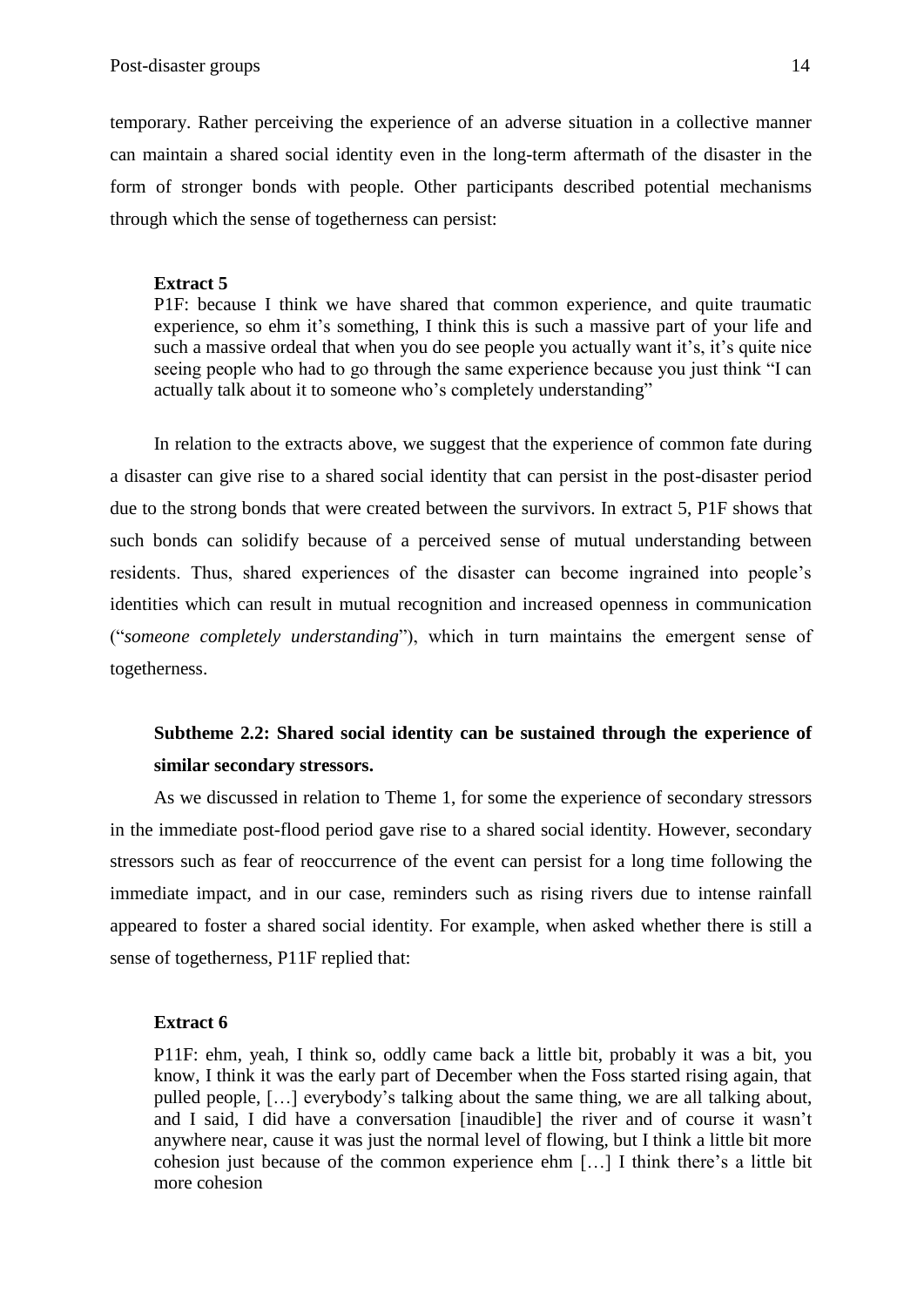temporary. Rather perceiving the experience of an adverse situation in a collective manner can maintain a shared social identity even in the long-term aftermath of the disaster in the form of stronger bonds with people. Other participants described potential mechanisms through which the sense of togetherness can persist:

#### **Extract 5**

P1F: because I think we have shared that common experience, and quite traumatic experience, so ehm it's something, I think this is such a massive part of your life and such a massive ordeal that when you do see people you actually want it's, it's quite nice seeing people who had to go through the same experience because you just think "I can actually talk about it to someone who's completely understanding"

In relation to the extracts above, we suggest that the experience of common fate during a disaster can give rise to a shared social identity that can persist in the post-disaster period due to the strong bonds that were created between the survivors. In extract 5, P1F shows that such bonds can solidify because of a perceived sense of mutual understanding between residents. Thus, shared experiences of the disaster can become ingrained into people's identities which can result in mutual recognition and increased openness in communication ("*someone completely understanding*"), which in turn maintains the emergent sense of togetherness.

# **Subtheme 2.2: Shared social identity can be sustained through the experience of similar secondary stressors.**

As we discussed in relation to Theme 1, for some the experience of secondary stressors in the immediate post-flood period gave rise to a shared social identity. However, secondary stressors such as fear of reoccurrence of the event can persist for a long time following the immediate impact, and in our case, reminders such as rising rivers due to intense rainfall appeared to foster a shared social identity. For example, when asked whether there is still a sense of togetherness, P11F replied that:

### **Extract 6**

P11F: ehm, yeah, I think so, oddly came back a little bit, probably it was a bit, you know, I think it was the early part of December when the Foss started rising again, that pulled people, […] everybody's talking about the same thing, we are all talking about, and I said, I did have a conversation [inaudible] the river and of course it wasn't anywhere near, cause it was just the normal level of flowing, but I think a little bit more cohesion just because of the common experience ehm […] I think there's a little bit more cohesion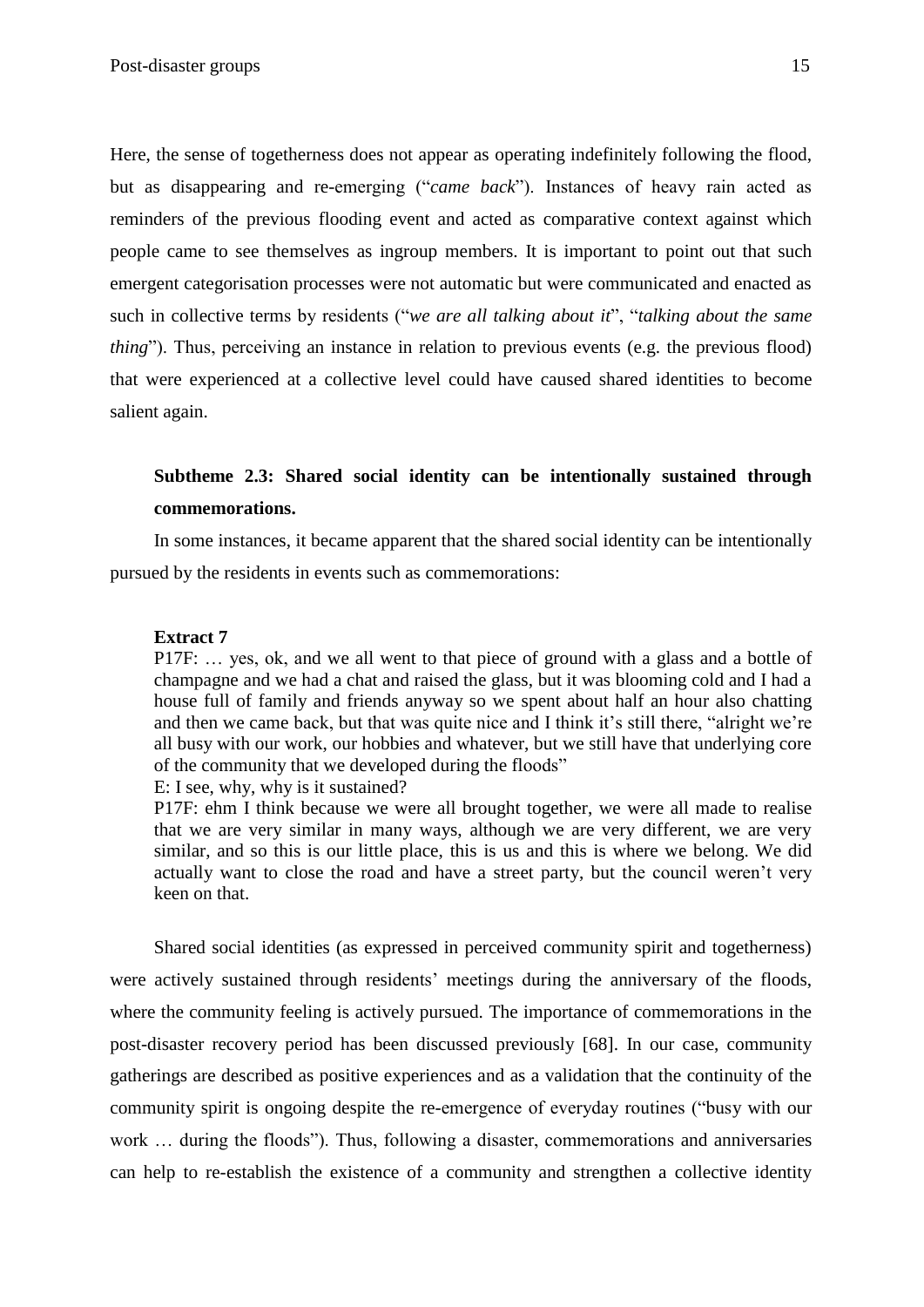Here, the sense of togetherness does not appear as operating indefinitely following the flood, but as disappearing and re-emerging ("*came back*"). Instances of heavy rain acted as reminders of the previous flooding event and acted as comparative context against which people came to see themselves as ingroup members. It is important to point out that such emergent categorisation processes were not automatic but were communicated and enacted as such in collective terms by residents ("*we are all talking about it*", "*talking about the same thing*"). Thus, perceiving an instance in relation to previous events (e.g. the previous flood) that were experienced at a collective level could have caused shared identities to become salient again.

# **Subtheme 2.3: Shared social identity can be intentionally sustained through commemorations.**

In some instances, it became apparent that the shared social identity can be intentionally pursued by the residents in events such as commemorations:

# **Extract 7**

P17F: … yes, ok, and we all went to that piece of ground with a glass and a bottle of champagne and we had a chat and raised the glass, but it was blooming cold and I had a house full of family and friends anyway so we spent about half an hour also chatting and then we came back, but that was quite nice and I think it's still there, "alright we're all busy with our work, our hobbies and whatever, but we still have that underlying core of the community that we developed during the floods"

E: I see, why, why is it sustained?

P17F: ehm I think because we were all brought together, we were all made to realise that we are very similar in many ways, although we are very different, we are very similar, and so this is our little place, this is us and this is where we belong. We did actually want to close the road and have a street party, but the council weren't very keen on that.

Shared social identities (as expressed in perceived community spirit and togetherness) were actively sustained through residents' meetings during the anniversary of the floods, where the community feeling is actively pursued. The importance of commemorations in the post-disaster recovery period has been discussed previously [68]. In our case, community gatherings are described as positive experiences and as a validation that the continuity of the community spirit is ongoing despite the re-emergence of everyday routines ("busy with our work … during the floods"). Thus, following a disaster, commemorations and anniversaries can help to re-establish the existence of a community and strengthen a collective identity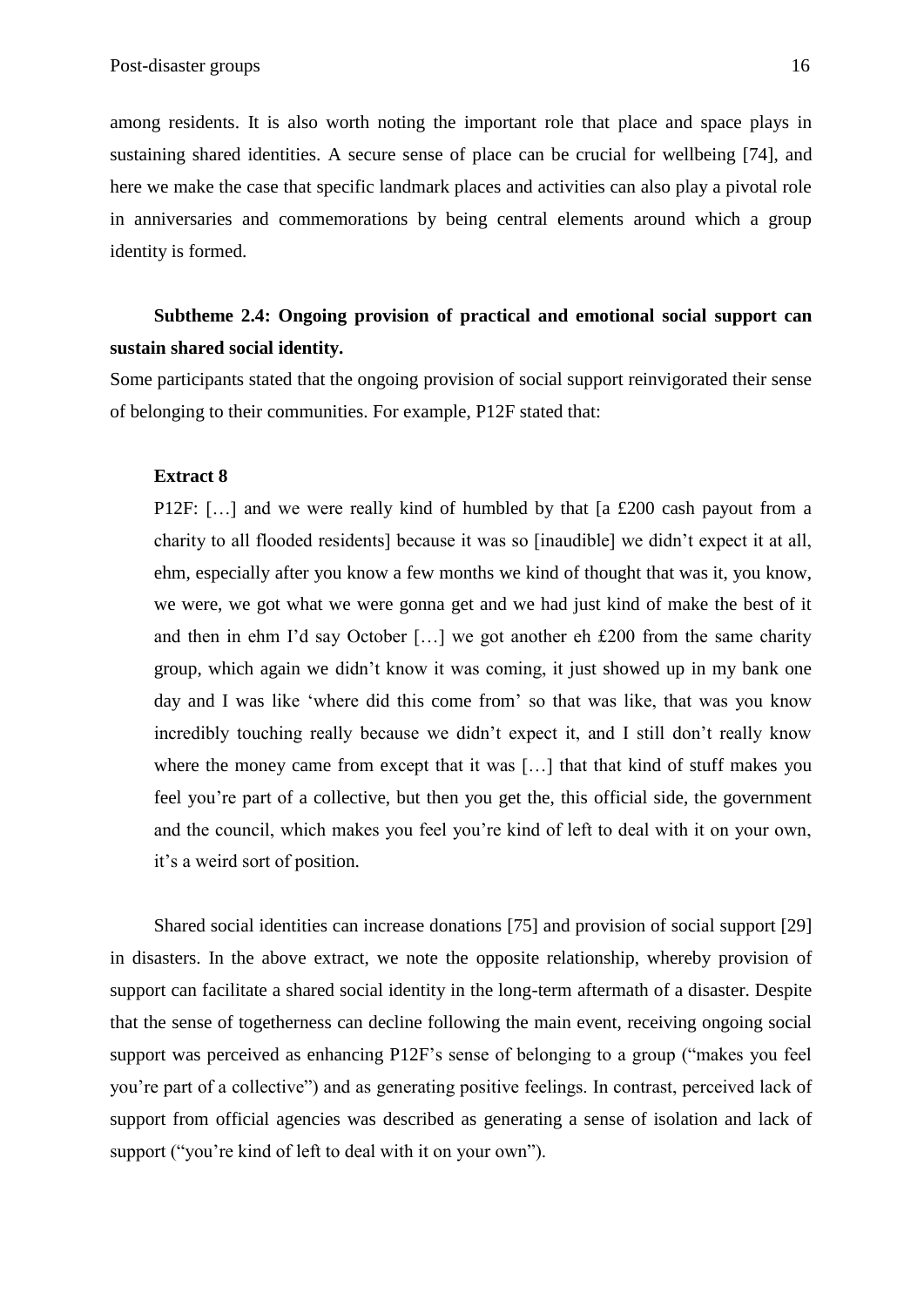among residents. It is also worth noting the important role that place and space plays in sustaining shared identities. A secure sense of place can be crucial for wellbeing [74], and here we make the case that specific landmark places and activities can also play a pivotal role in anniversaries and commemorations by being central elements around which a group identity is formed.

# **Subtheme 2.4: Ongoing provision of practical and emotional social support can sustain shared social identity.**

Some participants stated that the ongoing provision of social support reinvigorated their sense of belonging to their communities. For example, P12F stated that:

# **Extract 8**

P12F: […] and we were really kind of humbled by that [a £200 cash payout from a charity to all flooded residents] because it was so [inaudible] we didn't expect it at all, ehm, especially after you know a few months we kind of thought that was it, you know, we were, we got what we were gonna get and we had just kind of make the best of it and then in ehm I'd say October […] we got another eh £200 from the same charity group, which again we didn't know it was coming, it just showed up in my bank one day and I was like 'where did this come from' so that was like, that was you know incredibly touching really because we didn't expect it, and I still don't really know where the money came from except that it was [...] that that kind of stuff makes you feel you're part of a collective, but then you get the, this official side, the government and the council, which makes you feel you're kind of left to deal with it on your own, it's a weird sort of position.

Shared social identities can increase donations [75] and provision of social support [29] in disasters. In the above extract, we note the opposite relationship, whereby provision of support can facilitate a shared social identity in the long-term aftermath of a disaster. Despite that the sense of togetherness can decline following the main event, receiving ongoing social support was perceived as enhancing P12F's sense of belonging to a group ("makes you feel you're part of a collective") and as generating positive feelings. In contrast, perceived lack of support from official agencies was described as generating a sense of isolation and lack of support ("you're kind of left to deal with it on your own").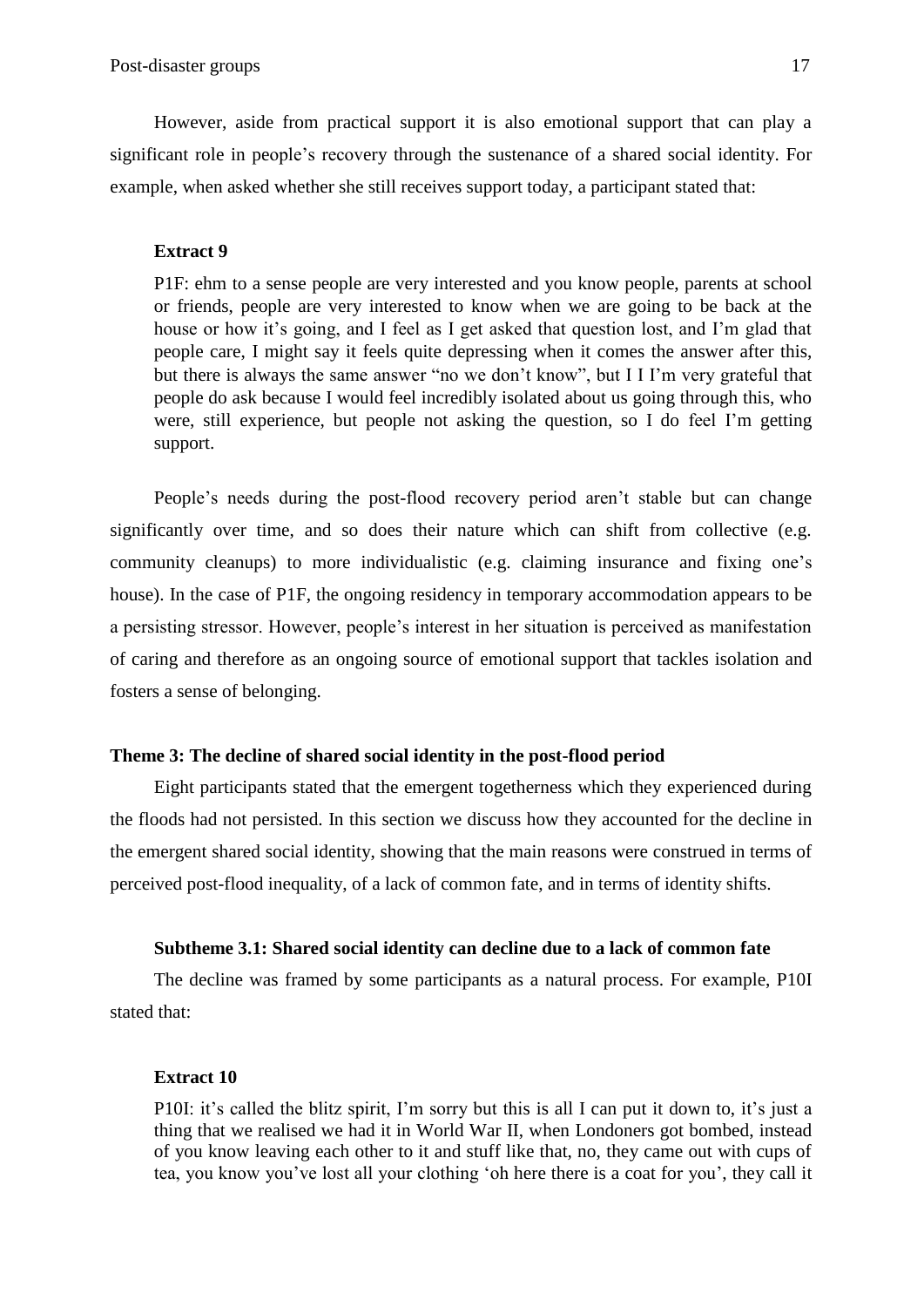However, aside from practical support it is also emotional support that can play a significant role in people's recovery through the sustenance of a shared social identity. For example, when asked whether she still receives support today, a participant stated that:

# **Extract 9**

P1F: ehm to a sense people are very interested and you know people, parents at school or friends, people are very interested to know when we are going to be back at the house or how it's going, and I feel as I get asked that question lost, and I'm glad that people care, I might say it feels quite depressing when it comes the answer after this, but there is always the same answer "no we don't know", but I I I'm very grateful that people do ask because I would feel incredibly isolated about us going through this, who were, still experience, but people not asking the question, so I do feel I'm getting support.

People's needs during the post-flood recovery period aren't stable but can change significantly over time, and so does their nature which can shift from collective (e.g. community cleanups) to more individualistic (e.g. claiming insurance and fixing one's house). In the case of P1F, the ongoing residency in temporary accommodation appears to be a persisting stressor. However, people's interest in her situation is perceived as manifestation of caring and therefore as an ongoing source of emotional support that tackles isolation and fosters a sense of belonging.

# **Theme 3: The decline of shared social identity in the post-flood period**

Eight participants stated that the emergent togetherness which they experienced during the floods had not persisted. In this section we discuss how they accounted for the decline in the emergent shared social identity, showing that the main reasons were construed in terms of perceived post-flood inequality, of a lack of common fate, and in terms of identity shifts.

# **Subtheme 3.1: Shared social identity can decline due to a lack of common fate**

The decline was framed by some participants as a natural process. For example, P10I stated that:

# **Extract 10**

P10I: it's called the blitz spirit, I'm sorry but this is all I can put it down to, it's just a thing that we realised we had it in World War II, when Londoners got bombed, instead of you know leaving each other to it and stuff like that, no, they came out with cups of tea, you know you've lost all your clothing 'oh here there is a coat for you', they call it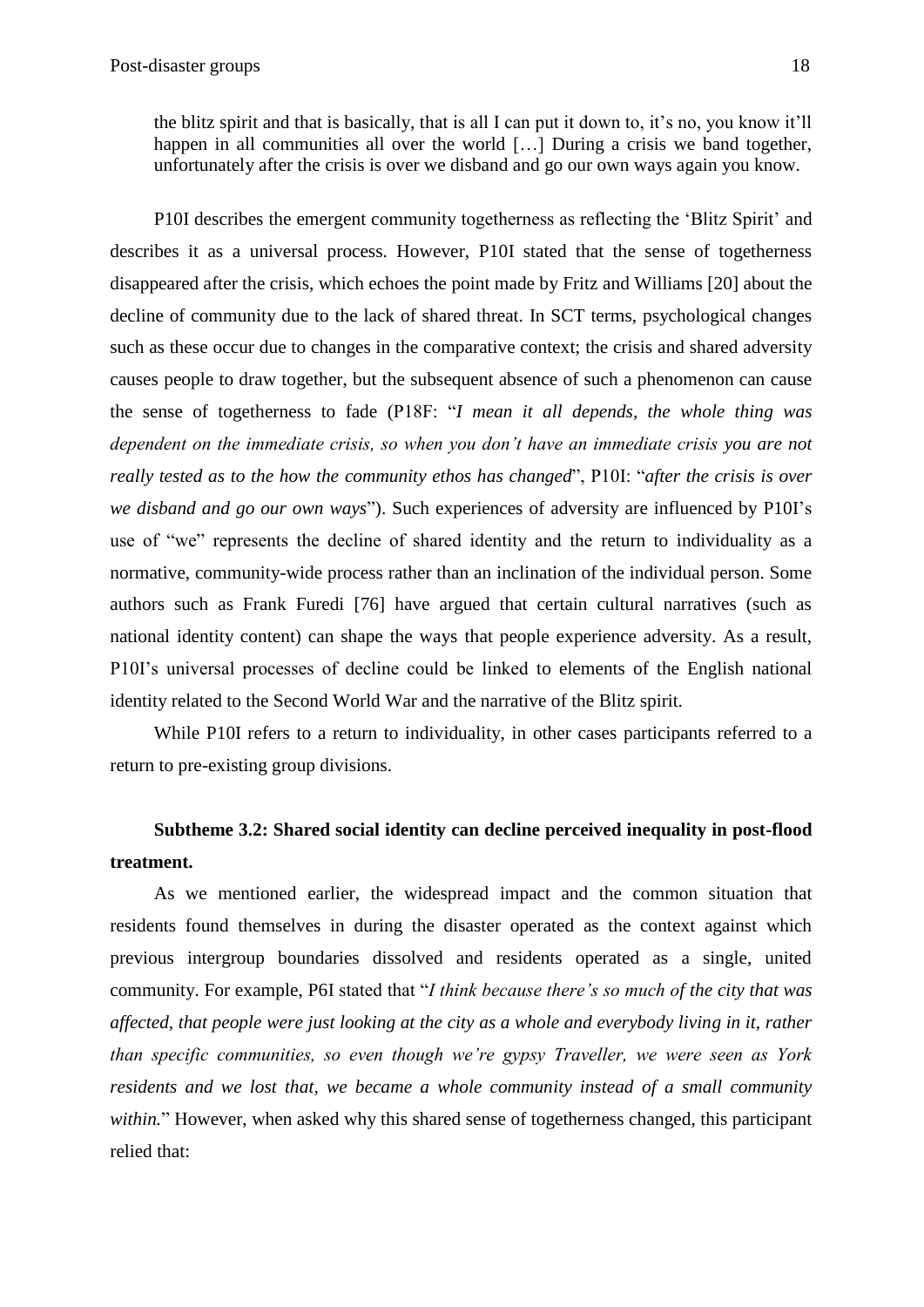P10I describes the emergent community togetherness as reflecting the 'Blitz Spirit' and describes it as a universal process. However, P10I stated that the sense of togetherness disappeared after the crisis, which echoes the point made by Fritz and Williams [20] about the decline of community due to the lack of shared threat. In SCT terms, psychological changes such as these occur due to changes in the comparative context; the crisis and shared adversity causes people to draw together, but the subsequent absence of such a phenomenon can cause the sense of togetherness to fade (P18F: "*I mean it all depends, the whole thing was dependent on the immediate crisis, so when you don't have an immediate crisis you are not really tested as to the how the community ethos has changed*", P10I: "*after the crisis is over we disband and go our own ways*"). Such experiences of adversity are influenced by P10I's use of "we" represents the decline of shared identity and the return to individuality as a normative, community-wide process rather than an inclination of the individual person. Some authors such as Frank Furedi [76] have argued that certain cultural narratives (such as national identity content) can shape the ways that people experience adversity. As a result, P10I's universal processes of decline could be linked to elements of the English national identity related to the Second World War and the narrative of the Blitz spirit.

While P10I refers to a return to individuality, in other cases participants referred to a return to pre-existing group divisions.

# **Subtheme 3.2: Shared social identity can decline perceived inequality in post-flood treatment.**

As we mentioned earlier, the widespread impact and the common situation that residents found themselves in during the disaster operated as the context against which previous intergroup boundaries dissolved and residents operated as a single, united community. For example, P6I stated that "*I think because there's so much of the city that was affected, that people were just looking at the city as a whole and everybody living in it, rather than specific communities, so even though we're gypsy Traveller, we were seen as York residents and we lost that, we became a whole community instead of a small community within.*" However, when asked why this shared sense of togetherness changed, this participant relied that: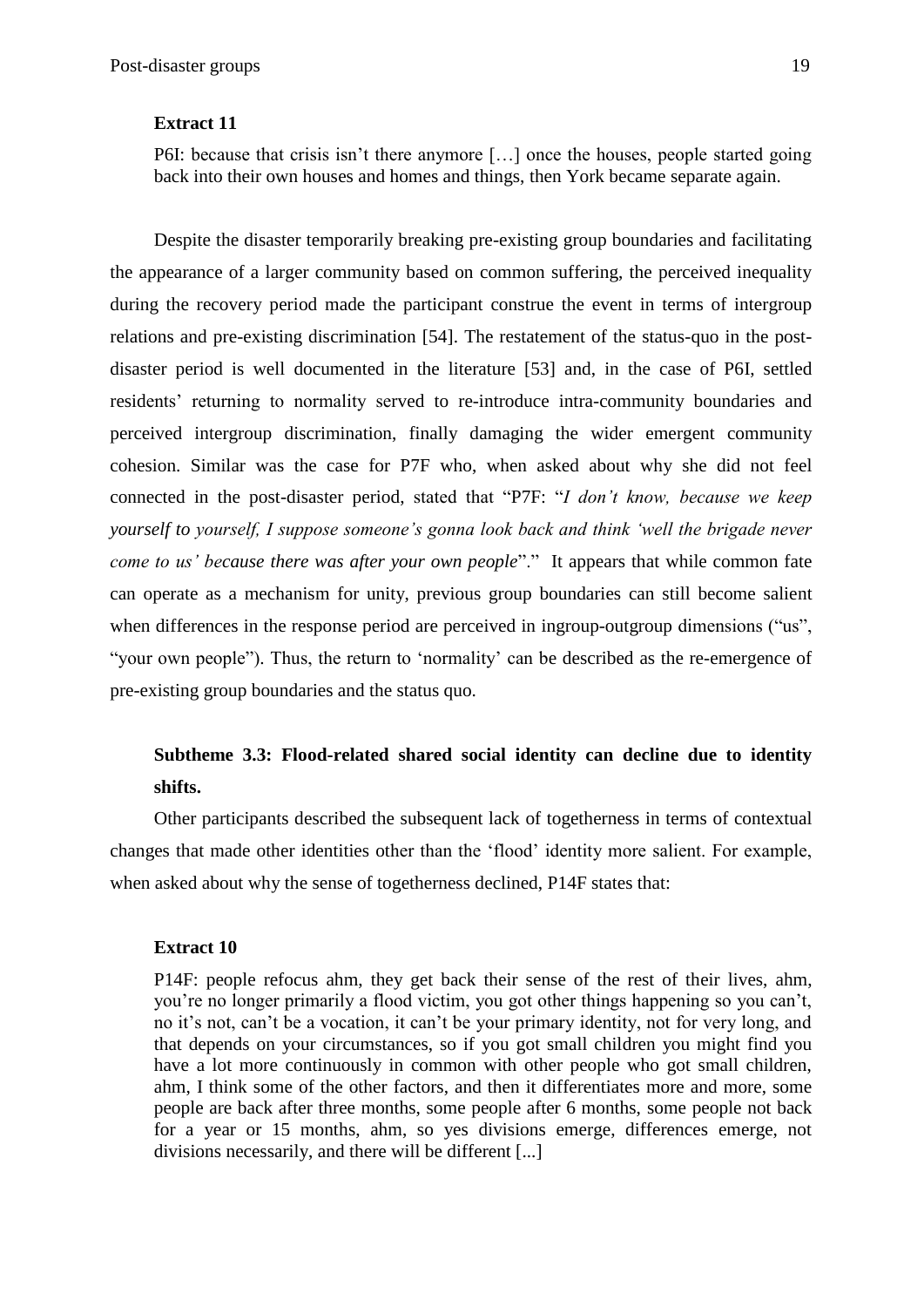### **Extract 11**

P6I: because that crisis isn't there anymore […] once the houses, people started going back into their own houses and homes and things, then York became separate again.

Despite the disaster temporarily breaking pre-existing group boundaries and facilitating the appearance of a larger community based on common suffering, the perceived inequality during the recovery period made the participant construe the event in terms of intergroup relations and pre-existing discrimination [54]. The restatement of the status-quo in the postdisaster period is well documented in the literature [53] and, in the case of P6I, settled residents' returning to normality served to re-introduce intra-community boundaries and perceived intergroup discrimination, finally damaging the wider emergent community cohesion. Similar was the case for P7F who, when asked about why she did not feel connected in the post-disaster period, stated that "P7F: "*I don't know, because we keep yourself to yourself, I suppose someone's gonna look back and think 'well the brigade never come to us' because there was after your own people*"." It appears that while common fate can operate as a mechanism for unity, previous group boundaries can still become salient when differences in the response period are perceived in ingroup-outgroup dimensions ("us", "your own people"). Thus, the return to 'normality' can be described as the re-emergence of pre-existing group boundaries and the status quo.

# **Subtheme 3.3: Flood-related shared social identity can decline due to identity shifts.**

Other participants described the subsequent lack of togetherness in terms of contextual changes that made other identities other than the 'flood' identity more salient. For example, when asked about why the sense of togetherness declined, P14F states that:

# **Extract 10**

P14F: people refocus ahm, they get back their sense of the rest of their lives, ahm, you're no longer primarily a flood victim, you got other things happening so you can't, no it's not, can't be a vocation, it can't be your primary identity, not for very long, and that depends on your circumstances, so if you got small children you might find you have a lot more continuously in common with other people who got small children, ahm, I think some of the other factors, and then it differentiates more and more, some people are back after three months, some people after 6 months, some people not back for a year or 15 months, ahm, so yes divisions emerge, differences emerge, not divisions necessarily, and there will be different [...]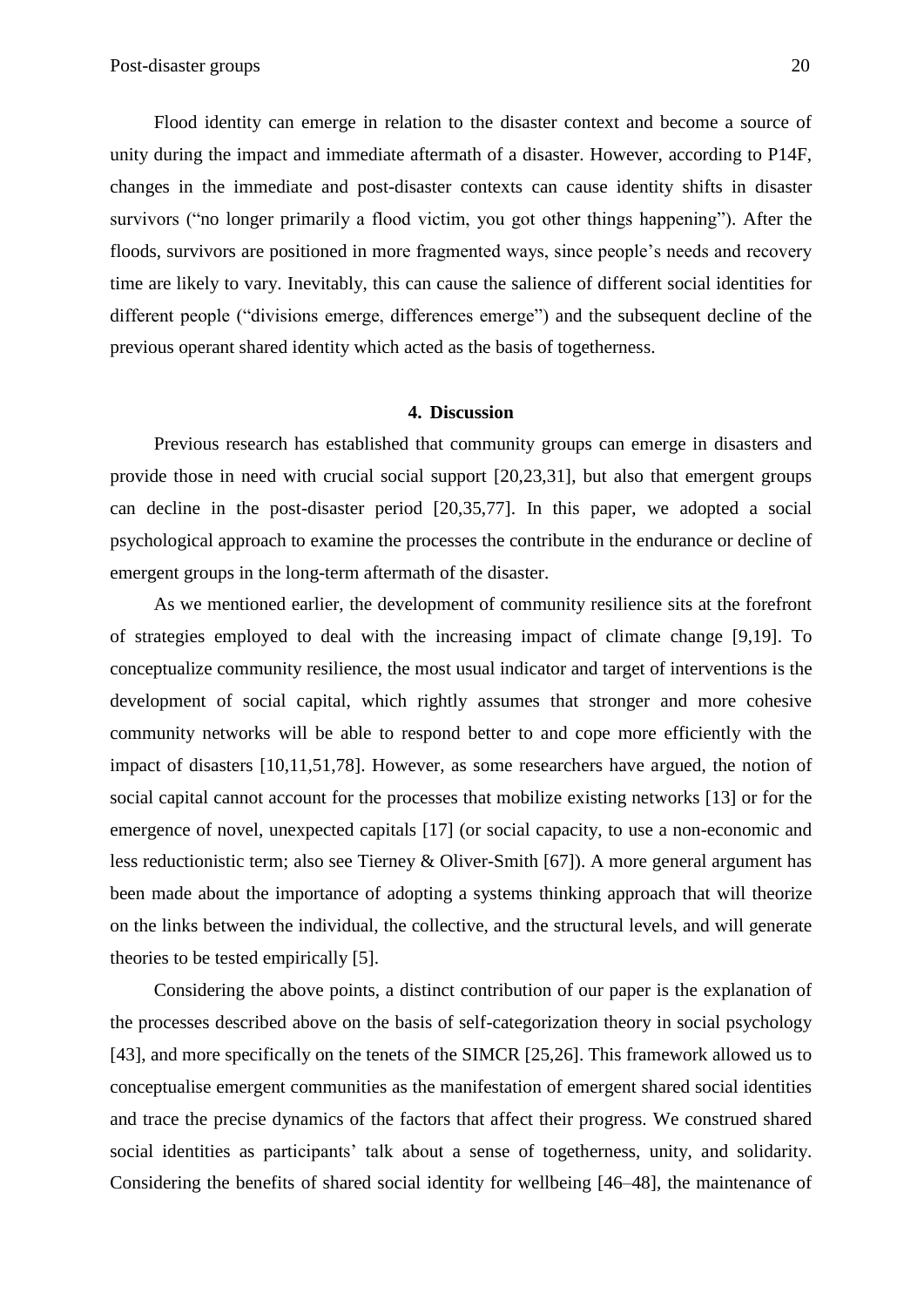Flood identity can emerge in relation to the disaster context and become a source of unity during the impact and immediate aftermath of a disaster. However, according to P14F, changes in the immediate and post-disaster contexts can cause identity shifts in disaster survivors ("no longer primarily a flood victim, you got other things happening"). After the floods, survivors are positioned in more fragmented ways, since people's needs and recovery time are likely to vary. Inevitably, this can cause the salience of different social identities for different people ("divisions emerge, differences emerge") and the subsequent decline of the previous operant shared identity which acted as the basis of togetherness.

#### **4. Discussion**

Previous research has established that community groups can emerge in disasters and provide those in need with crucial social support [20,23,31], but also that emergent groups can decline in the post-disaster period [20,35,77]. In this paper, we adopted a social psychological approach to examine the processes the contribute in the endurance or decline of emergent groups in the long-term aftermath of the disaster.

As we mentioned earlier, the development of community resilience sits at the forefront of strategies employed to deal with the increasing impact of climate change [9,19]. To conceptualize community resilience, the most usual indicator and target of interventions is the development of social capital, which rightly assumes that stronger and more cohesive community networks will be able to respond better to and cope more efficiently with the impact of disasters [10,11,51,78]. However, as some researchers have argued, the notion of social capital cannot account for the processes that mobilize existing networks [13] or for the emergence of novel, unexpected capitals [17] (or social capacity, to use a non-economic and less reductionistic term; also see Tierney & Oliver-Smith [67]). A more general argument has been made about the importance of adopting a systems thinking approach that will theorize on the links between the individual, the collective, and the structural levels, and will generate theories to be tested empirically [5].

Considering the above points, a distinct contribution of our paper is the explanation of the processes described above on the basis of self-categorization theory in social psychology [43], and more specifically on the tenets of the SIMCR [25,26]. This framework allowed us to conceptualise emergent communities as the manifestation of emergent shared social identities and trace the precise dynamics of the factors that affect their progress. We construed shared social identities as participants' talk about a sense of togetherness, unity, and solidarity. Considering the benefits of shared social identity for wellbeing [46–48], the maintenance of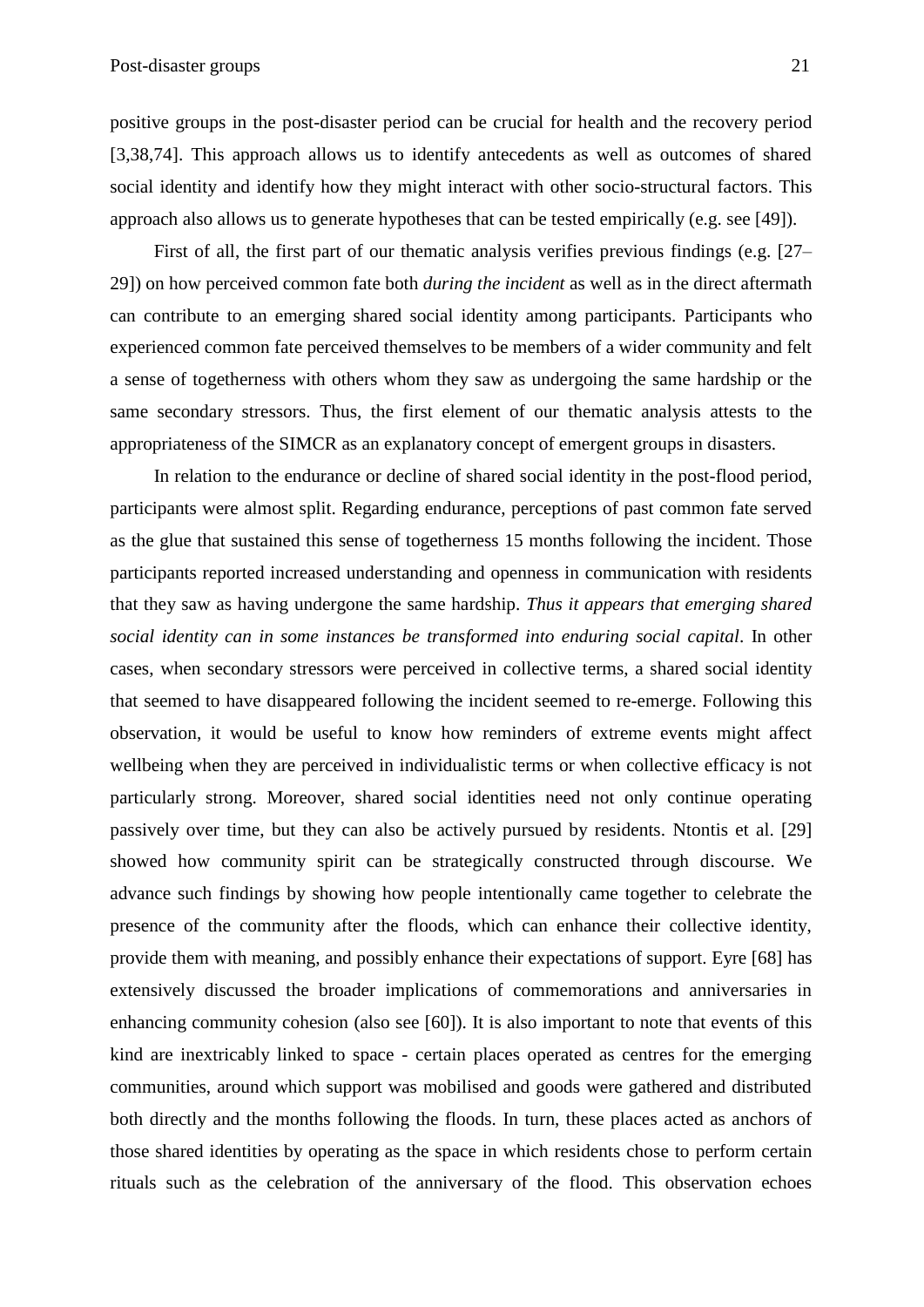positive groups in the post-disaster period can be crucial for health and the recovery period [3,38,74]. This approach allows us to identify antecedents as well as outcomes of shared social identity and identify how they might interact with other socio-structural factors. This approach also allows us to generate hypotheses that can be tested empirically (e.g. see [49]).

First of all, the first part of our thematic analysis verifies previous findings (e.g. [27– 29]) on how perceived common fate both *during the incident* as well as in the direct aftermath can contribute to an emerging shared social identity among participants. Participants who experienced common fate perceived themselves to be members of a wider community and felt a sense of togetherness with others whom they saw as undergoing the same hardship or the same secondary stressors. Thus, the first element of our thematic analysis attests to the appropriateness of the SIMCR as an explanatory concept of emergent groups in disasters.

In relation to the endurance or decline of shared social identity in the post-flood period, participants were almost split. Regarding endurance, perceptions of past common fate served as the glue that sustained this sense of togetherness 15 months following the incident. Those participants reported increased understanding and openness in communication with residents that they saw as having undergone the same hardship. *Thus it appears that emerging shared social identity can in some instances be transformed into enduring social capital*. In other cases, when secondary stressors were perceived in collective terms, a shared social identity that seemed to have disappeared following the incident seemed to re-emerge. Following this observation, it would be useful to know how reminders of extreme events might affect wellbeing when they are perceived in individualistic terms or when collective efficacy is not particularly strong. Moreover, shared social identities need not only continue operating passively over time, but they can also be actively pursued by residents. Ntontis et al. [29] showed how community spirit can be strategically constructed through discourse. We advance such findings by showing how people intentionally came together to celebrate the presence of the community after the floods, which can enhance their collective identity, provide them with meaning, and possibly enhance their expectations of support. Eyre [68] has extensively discussed the broader implications of commemorations and anniversaries in enhancing community cohesion (also see [60]). It is also important to note that events of this kind are inextricably linked to space - certain places operated as centres for the emerging communities, around which support was mobilised and goods were gathered and distributed both directly and the months following the floods. In turn, these places acted as anchors of those shared identities by operating as the space in which residents chose to perform certain rituals such as the celebration of the anniversary of the flood. This observation echoes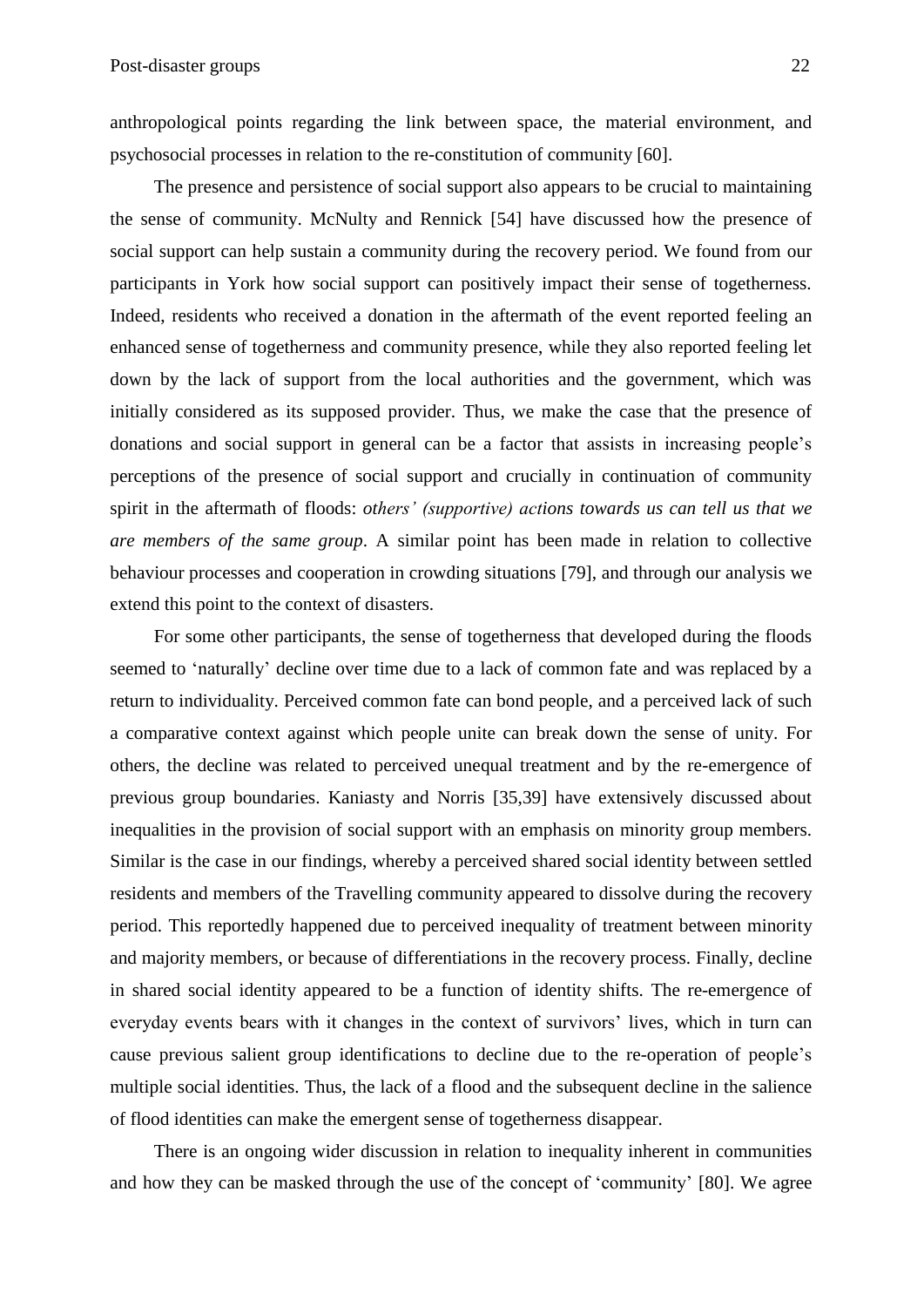anthropological points regarding the link between space, the material environment, and psychosocial processes in relation to the re-constitution of community [60].

The presence and persistence of social support also appears to be crucial to maintaining the sense of community. McNulty and Rennick [54] have discussed how the presence of social support can help sustain a community during the recovery period. We found from our participants in York how social support can positively impact their sense of togetherness. Indeed, residents who received a donation in the aftermath of the event reported feeling an enhanced sense of togetherness and community presence, while they also reported feeling let down by the lack of support from the local authorities and the government, which was initially considered as its supposed provider. Thus, we make the case that the presence of donations and social support in general can be a factor that assists in increasing people's perceptions of the presence of social support and crucially in continuation of community spirit in the aftermath of floods: *others' (supportive) actions towards us can tell us that we are members of the same group*. A similar point has been made in relation to collective behaviour processes and cooperation in crowding situations [79], and through our analysis we extend this point to the context of disasters.

For some other participants, the sense of togetherness that developed during the floods seemed to 'naturally' decline over time due to a lack of common fate and was replaced by a return to individuality. Perceived common fate can bond people, and a perceived lack of such a comparative context against which people unite can break down the sense of unity. For others, the decline was related to perceived unequal treatment and by the re-emergence of previous group boundaries. Kaniasty and Norris [35,39] have extensively discussed about inequalities in the provision of social support with an emphasis on minority group members. Similar is the case in our findings, whereby a perceived shared social identity between settled residents and members of the Travelling community appeared to dissolve during the recovery period. This reportedly happened due to perceived inequality of treatment between minority and majority members, or because of differentiations in the recovery process. Finally, decline in shared social identity appeared to be a function of identity shifts. The re-emergence of everyday events bears with it changes in the context of survivors' lives, which in turn can cause previous salient group identifications to decline due to the re-operation of people's multiple social identities. Thus, the lack of a flood and the subsequent decline in the salience of flood identities can make the emergent sense of togetherness disappear.

There is an ongoing wider discussion in relation to inequality inherent in communities and how they can be masked through the use of the concept of 'community' [80]. We agree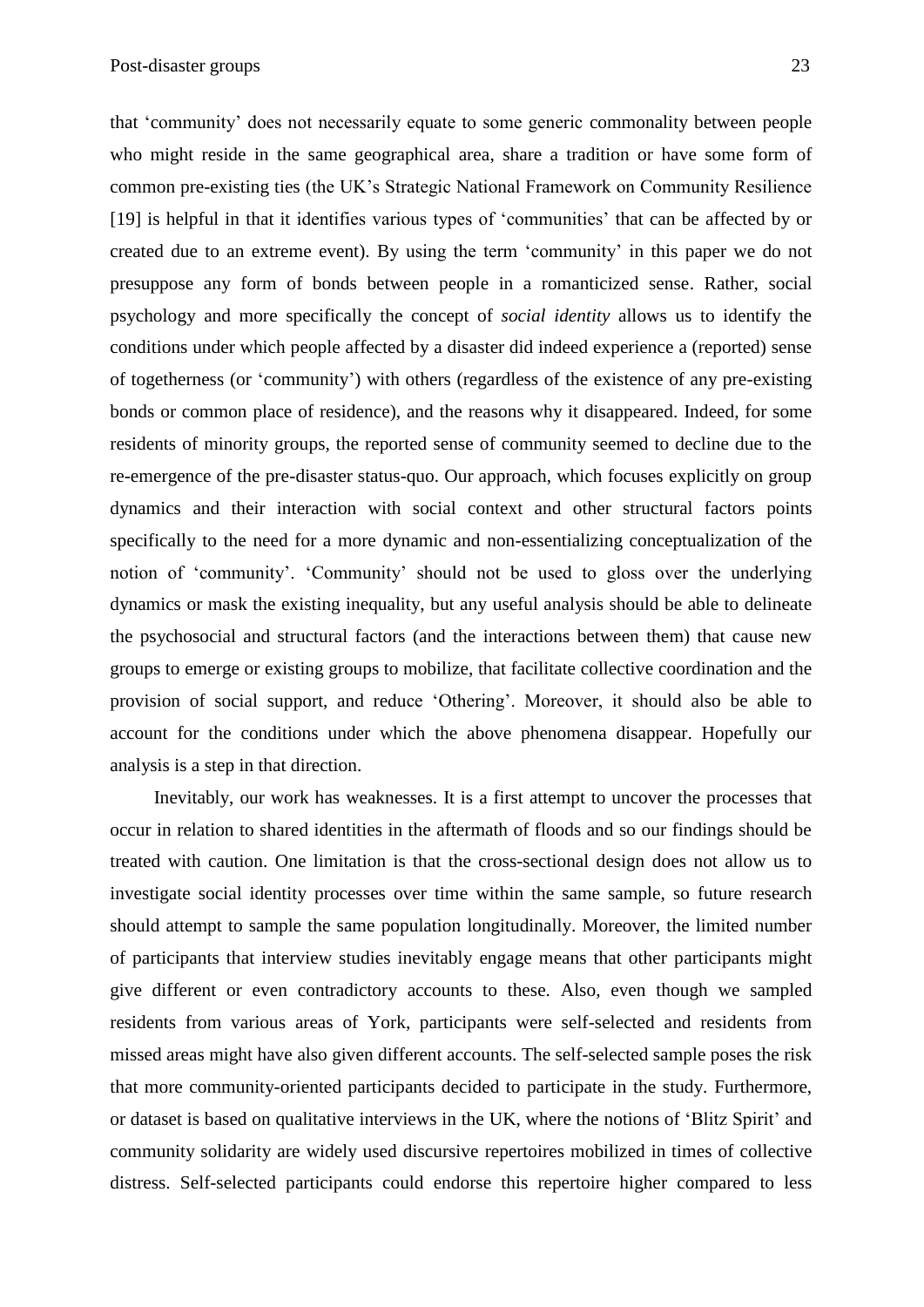that 'community' does not necessarily equate to some generic commonality between people who might reside in the same geographical area, share a tradition or have some form of common pre-existing ties (the UK's Strategic National Framework on Community Resilience [19] is helpful in that it identifies various types of 'communities' that can be affected by or created due to an extreme event). By using the term 'community' in this paper we do not presuppose any form of bonds between people in a romanticized sense. Rather, social psychology and more specifically the concept of *social identity* allows us to identify the conditions under which people affected by a disaster did indeed experience a (reported) sense of togetherness (or 'community') with others (regardless of the existence of any pre-existing bonds or common place of residence), and the reasons why it disappeared. Indeed, for some residents of minority groups, the reported sense of community seemed to decline due to the re-emergence of the pre-disaster status-quo. Our approach, which focuses explicitly on group dynamics and their interaction with social context and other structural factors points specifically to the need for a more dynamic and non-essentializing conceptualization of the notion of 'community'. 'Community' should not be used to gloss over the underlying dynamics or mask the existing inequality, but any useful analysis should be able to delineate the psychosocial and structural factors (and the interactions between them) that cause new groups to emerge or existing groups to mobilize, that facilitate collective coordination and the provision of social support, and reduce 'Othering'. Moreover, it should also be able to account for the conditions under which the above phenomena disappear. Hopefully our analysis is a step in that direction.

Inevitably, our work has weaknesses. It is a first attempt to uncover the processes that occur in relation to shared identities in the aftermath of floods and so our findings should be treated with caution. One limitation is that the cross-sectional design does not allow us to investigate social identity processes over time within the same sample, so future research should attempt to sample the same population longitudinally. Moreover, the limited number of participants that interview studies inevitably engage means that other participants might give different or even contradictory accounts to these. Also, even though we sampled residents from various areas of York, participants were self-selected and residents from missed areas might have also given different accounts. The self-selected sample poses the risk that more community-oriented participants decided to participate in the study. Furthermore, or dataset is based on qualitative interviews in the UK, where the notions of 'Blitz Spirit' and community solidarity are widely used discursive repertoires mobilized in times of collective distress. Self-selected participants could endorse this repertoire higher compared to less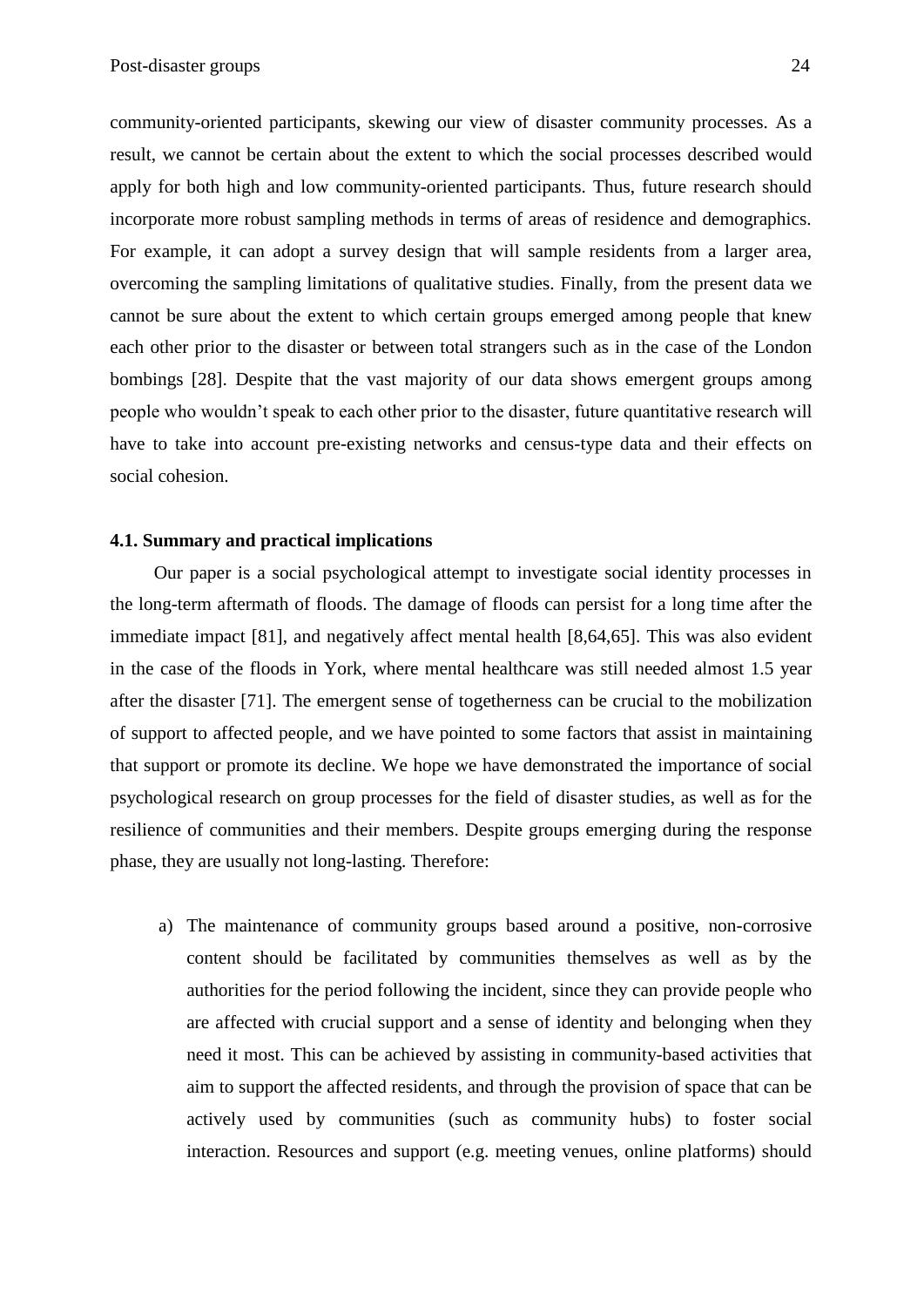community-oriented participants, skewing our view of disaster community processes. As a result, we cannot be certain about the extent to which the social processes described would apply for both high and low community-oriented participants. Thus, future research should incorporate more robust sampling methods in terms of areas of residence and demographics. For example, it can adopt a survey design that will sample residents from a larger area, overcoming the sampling limitations of qualitative studies. Finally, from the present data we cannot be sure about the extent to which certain groups emerged among people that knew each other prior to the disaster or between total strangers such as in the case of the London bombings [28]. Despite that the vast majority of our data shows emergent groups among people who wouldn't speak to each other prior to the disaster, future quantitative research will have to take into account pre-existing networks and census-type data and their effects on social cohesion.

### **4.1. Summary and practical implications**

Our paper is a social psychological attempt to investigate social identity processes in the long-term aftermath of floods. The damage of floods can persist for a long time after the immediate impact [81], and negatively affect mental health [8,64,65]. This was also evident in the case of the floods in York, where mental healthcare was still needed almost 1.5 year after the disaster [71]. The emergent sense of togetherness can be crucial to the mobilization of support to affected people, and we have pointed to some factors that assist in maintaining that support or promote its decline. We hope we have demonstrated the importance of social psychological research on group processes for the field of disaster studies, as well as for the resilience of communities and their members. Despite groups emerging during the response phase, they are usually not long-lasting. Therefore:

a) The maintenance of community groups based around a positive, non-corrosive content should be facilitated by communities themselves as well as by the authorities for the period following the incident, since they can provide people who are affected with crucial support and a sense of identity and belonging when they need it most. This can be achieved by assisting in community-based activities that aim to support the affected residents, and through the provision of space that can be actively used by communities (such as community hubs) to foster social interaction. Resources and support (e.g. meeting venues, online platforms) should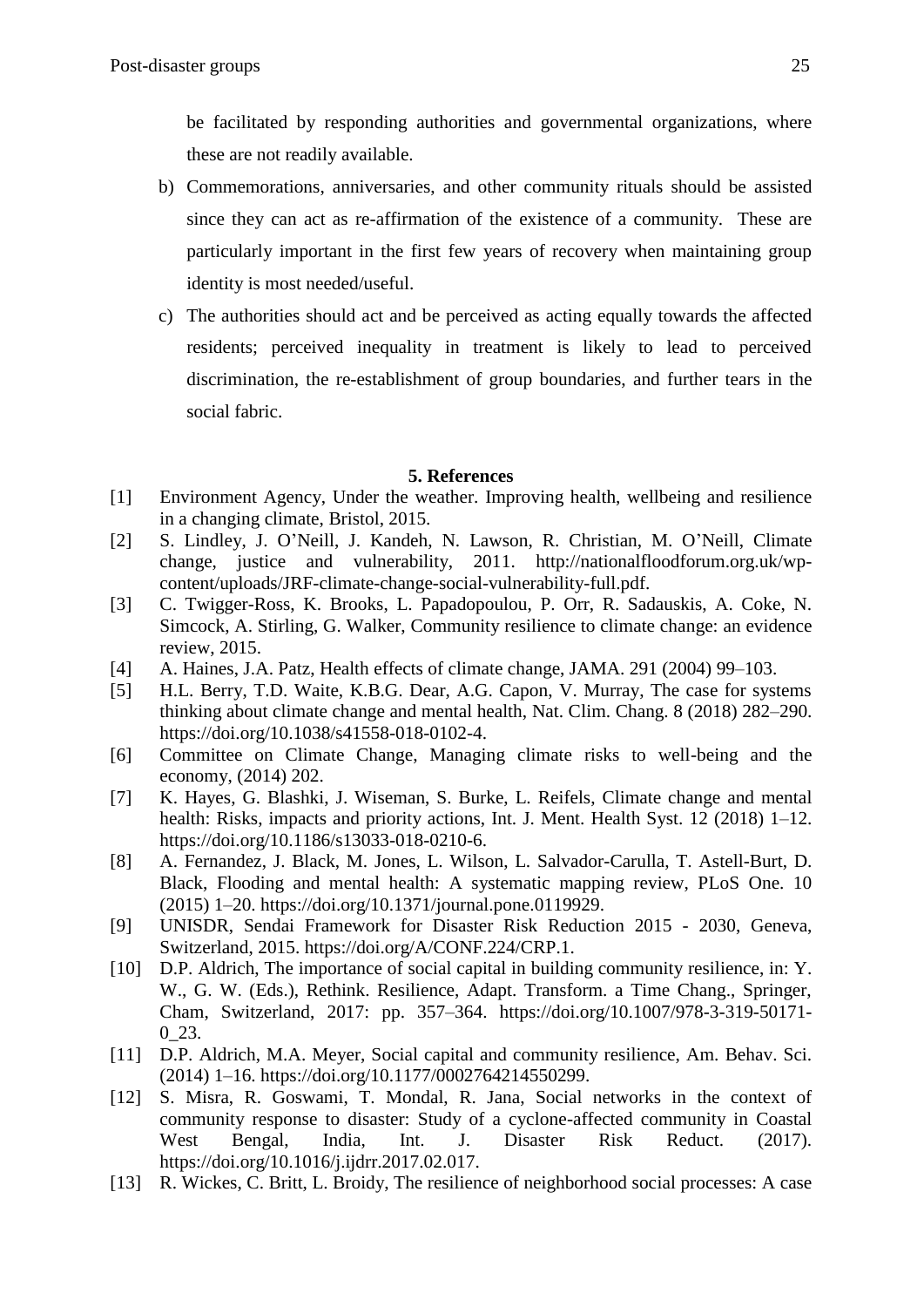be facilitated by responding authorities and governmental organizations, where these are not readily available.

- b) Commemorations, anniversaries, and other community rituals should be assisted since they can act as re-affirmation of the existence of a community. These are particularly important in the first few years of recovery when maintaining group identity is most needed/useful.
- c) The authorities should act and be perceived as acting equally towards the affected residents; perceived inequality in treatment is likely to lead to perceived discrimination, the re-establishment of group boundaries, and further tears in the social fabric.

# **5. References**

- [1] Environment Agency, Under the weather. Improving health, wellbeing and resilience in a changing climate, Bristol, 2015.
- [2] S. Lindley, J. O'Neill, J. Kandeh, N. Lawson, R. Christian, M. O'Neill, Climate change, justice and vulnerability, 2011. http://nationalfloodforum.org.uk/wpcontent/uploads/JRF-climate-change-social-vulnerability-full.pdf.
- [3] C. Twigger-Ross, K. Brooks, L. Papadopoulou, P. Orr, R. Sadauskis, A. Coke, N. Simcock, A. Stirling, G. Walker, Community resilience to climate change: an evidence review, 2015.
- [4] A. Haines, J.A. Patz, Health effects of climate change, JAMA. 291 (2004) 99–103.
- [5] H.L. Berry, T.D. Waite, K.B.G. Dear, A.G. Capon, V. Murray, The case for systems thinking about climate change and mental health, Nat. Clim. Chang. 8 (2018) 282–290. https://doi.org/10.1038/s41558-018-0102-4.
- [6] Committee on Climate Change, Managing climate risks to well-being and the economy, (2014) 202.
- [7] K. Hayes, G. Blashki, J. Wiseman, S. Burke, L. Reifels, Climate change and mental health: Risks, impacts and priority actions, Int. J. Ment. Health Syst. 12 (2018) 1–12. https://doi.org/10.1186/s13033-018-0210-6.
- [8] A. Fernandez, J. Black, M. Jones, L. Wilson, L. Salvador-Carulla, T. Astell-Burt, D. Black, Flooding and mental health: A systematic mapping review, PLoS One. 10 (2015) 1–20. https://doi.org/10.1371/journal.pone.0119929.
- [9] UNISDR, Sendai Framework for Disaster Risk Reduction 2015 2030, Geneva, Switzerland, 2015. https://doi.org/A/CONF.224/CRP.1.
- [10] D.P. Aldrich, The importance of social capital in building community resilience, in: Y. W., G. W. (Eds.), Rethink. Resilience, Adapt. Transform. a Time Chang., Springer, Cham, Switzerland, 2017: pp. 357–364. https://doi.org/10.1007/978-3-319-50171- 0 23.
- [11] D.P. Aldrich, M.A. Meyer, Social capital and community resilience, Am. Behav. Sci. (2014) 1–16. https://doi.org/10.1177/0002764214550299.
- [12] S. Misra, R. Goswami, T. Mondal, R. Jana, Social networks in the context of community response to disaster: Study of a cyclone-affected community in Coastal West Bengal, India, Int. J. Disaster Risk Reduct. (2017). https://doi.org/10.1016/j.ijdrr.2017.02.017.
- [13] R. Wickes, C. Britt, L. Broidy, The resilience of neighborhood social processes: A case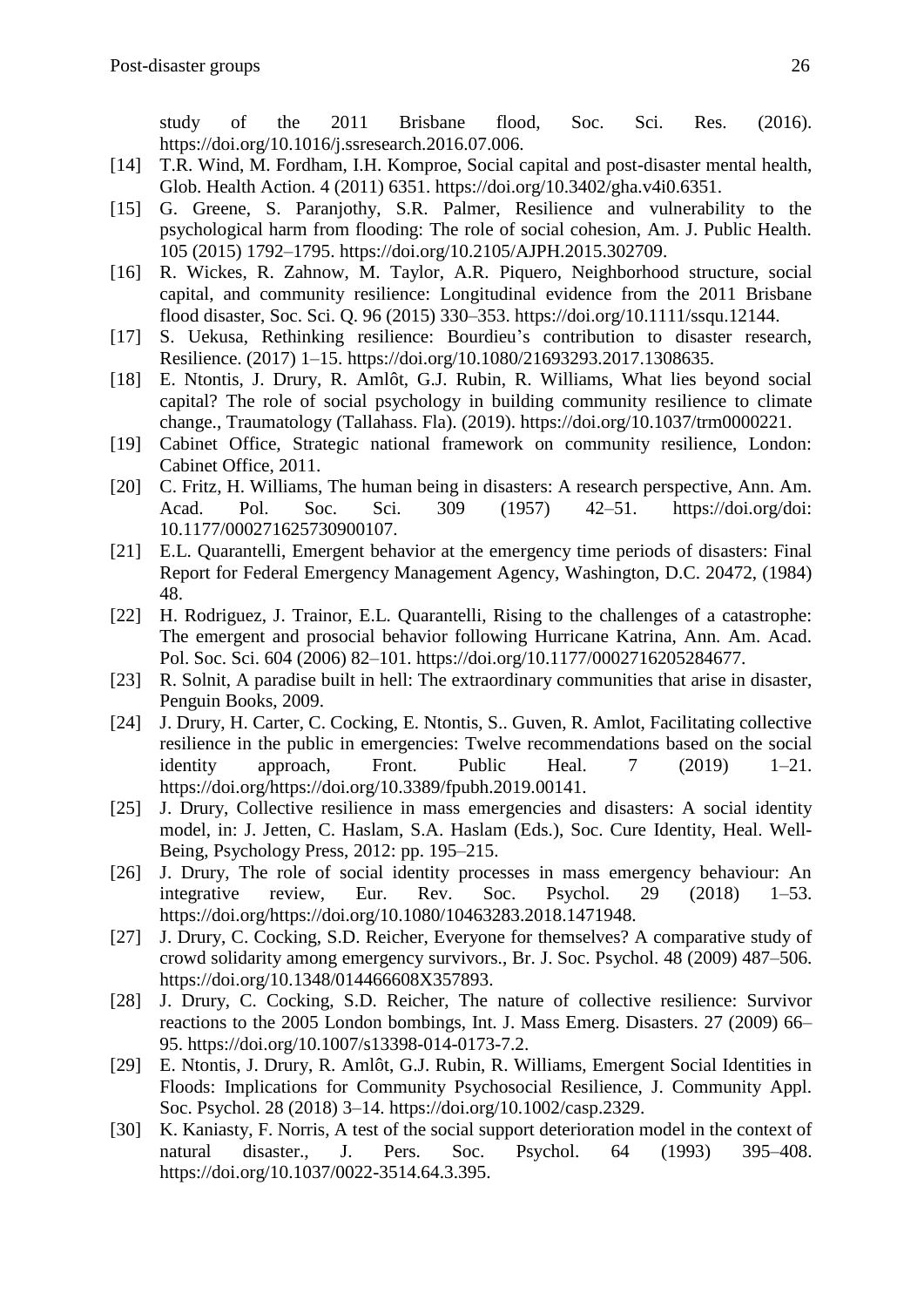study of the 2011 Brisbane flood, Soc. Sci. Res. (2016). https://doi.org/10.1016/j.ssresearch.2016.07.006.

- [14] T.R. Wind, M. Fordham, I.H. Komproe, Social capital and post-disaster mental health, Glob. Health Action. 4 (2011) 6351. https://doi.org/10.3402/gha.v4i0.6351.
- [15] G. Greene, S. Paranjothy, S.R. Palmer, Resilience and vulnerability to the psychological harm from flooding: The role of social cohesion, Am. J. Public Health. 105 (2015) 1792–1795. https://doi.org/10.2105/AJPH.2015.302709.
- [16] R. Wickes, R. Zahnow, M. Taylor, A.R. Piquero, Neighborhood structure, social capital, and community resilience: Longitudinal evidence from the 2011 Brisbane flood disaster, Soc. Sci. Q. 96 (2015) 330–353. https://doi.org/10.1111/ssqu.12144.
- [17] S. Uekusa, Rethinking resilience: Bourdieu's contribution to disaster research, Resilience. (2017) 1–15. https://doi.org/10.1080/21693293.2017.1308635.
- [18] E. Ntontis, J. Drury, R. Amlôt, G.J. Rubin, R. Williams, What lies beyond social capital? The role of social psychology in building community resilience to climate change., Traumatology (Tallahass. Fla). (2019). https://doi.org/10.1037/trm0000221.
- [19] Cabinet Office, Strategic national framework on community resilience, London: Cabinet Office, 2011.
- [20] C. Fritz, H. Williams, The human being in disasters: A research perspective, Ann. Am. Acad. Pol. Soc. Sci. 309 (1957) 42–51. https://doi.org/doi: 10.1177/000271625730900107.
- [21] E.L. Quarantelli, Emergent behavior at the emergency time periods of disasters: Final Report for Federal Emergency Management Agency, Washington, D.C. 20472, (1984) 48.
- [22] H. Rodriguez, J. Trainor, E.L. Quarantelli, Rising to the challenges of a catastrophe: The emergent and prosocial behavior following Hurricane Katrina, Ann. Am. Acad. Pol. Soc. Sci. 604 (2006) 82–101. https://doi.org/10.1177/0002716205284677.
- [23] R. Solnit, A paradise built in hell: The extraordinary communities that arise in disaster, Penguin Books, 2009.
- [24] J. Drury, H. Carter, C. Cocking, E. Ntontis, S.. Guven, R. Amlot, Facilitating collective resilience in the public in emergencies: Twelve recommendations based on the social identity approach, Front. Public Heal. 7 (2019) 1–21. https://doi.org/https://doi.org/10.3389/fpubh.2019.00141.
- [25] J. Drury, Collective resilience in mass emergencies and disasters: A social identity model, in: J. Jetten, C. Haslam, S.A. Haslam (Eds.), Soc. Cure Identity, Heal. Well-Being, Psychology Press, 2012: pp. 195–215.
- [26] J. Drury, The role of social identity processes in mass emergency behaviour: An integrative review, Eur. Rev. Soc. Psychol. 29 (2018) 1–53. https://doi.org/https://doi.org/10.1080/10463283.2018.1471948.
- [27] J. Drury, C. Cocking, S.D. Reicher, Everyone for themselves? A comparative study of crowd solidarity among emergency survivors., Br. J. Soc. Psychol. 48 (2009) 487–506. https://doi.org/10.1348/014466608X357893.
- [28] J. Drury, C. Cocking, S.D. Reicher, The nature of collective resilience: Survivor reactions to the 2005 London bombings, Int. J. Mass Emerg. Disasters. 27 (2009) 66– 95. https://doi.org/10.1007/s13398-014-0173-7.2.
- [29] E. Ntontis, J. Drury, R. Amlôt, G.J. Rubin, R. Williams, Emergent Social Identities in Floods: Implications for Community Psychosocial Resilience, J. Community Appl. Soc. Psychol. 28 (2018) 3–14. https://doi.org/10.1002/casp.2329.
- [30] K. Kaniasty, F. Norris, A test of the social support deterioration model in the context of natural disaster., J. Pers. Soc. Psychol. 64 (1993) 395–408. https://doi.org/10.1037/0022-3514.64.3.395.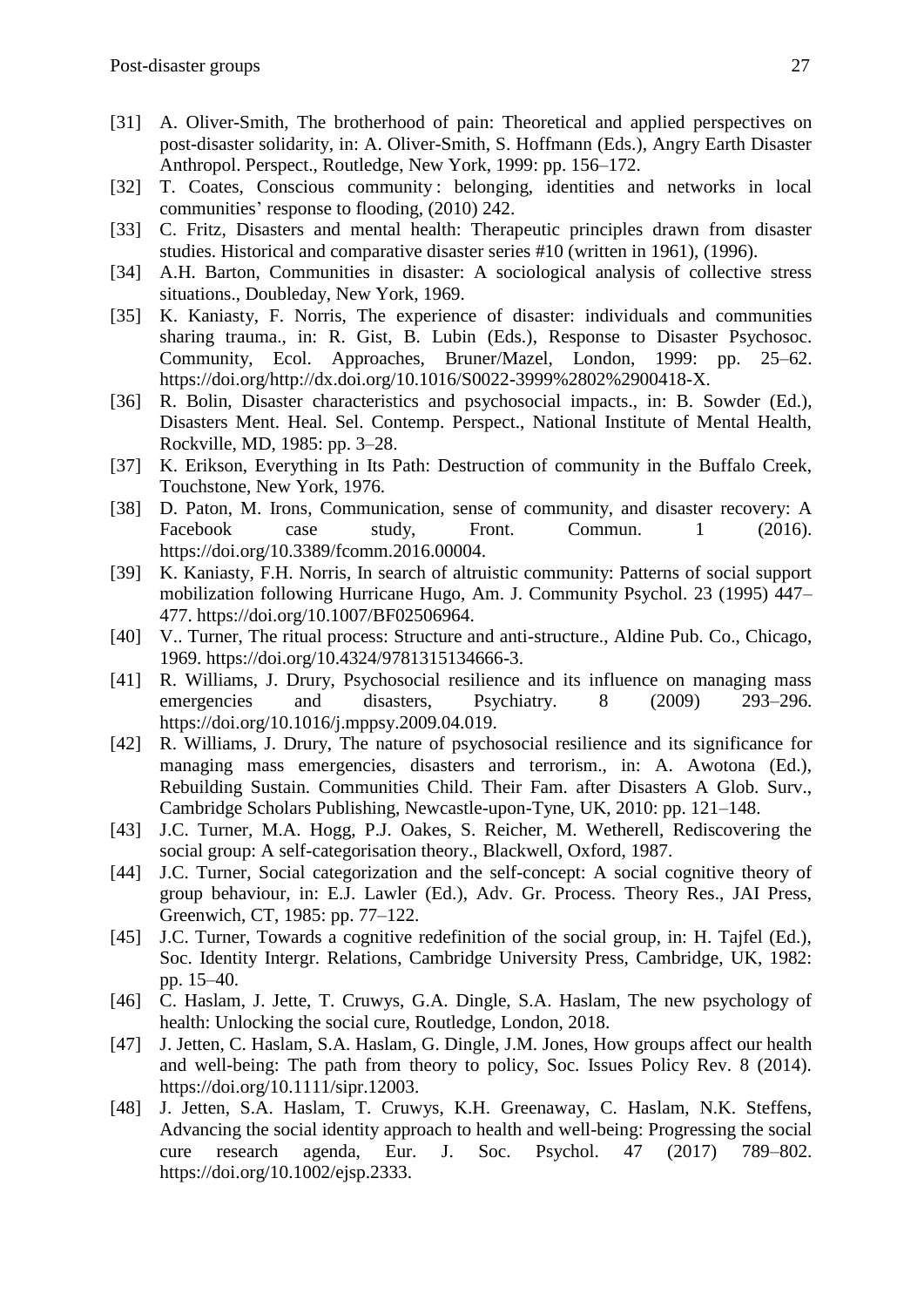- [31] A. Oliver-Smith, The brotherhood of pain: Theoretical and applied perspectives on post-disaster solidarity, in: A. Oliver-Smith, S. Hoffmann (Eds.), Angry Earth Disaster Anthropol. Perspect., Routledge, New York, 1999: pp. 156–172.
- [32] T. Coates, Conscious community : belonging, identities and networks in local communities' response to flooding, (2010) 242.
- [33] C. Fritz, Disasters and mental health: Therapeutic principles drawn from disaster studies. Historical and comparative disaster series #10 (written in 1961), (1996).
- [34] A.H. Barton, Communities in disaster: A sociological analysis of collective stress situations., Doubleday, New York, 1969.
- [35] K. Kaniasty, F. Norris, The experience of disaster: individuals and communities sharing trauma., in: R. Gist, B. Lubin (Eds.), Response to Disaster Psychosoc. Community, Ecol. Approaches, Bruner/Mazel, London, 1999: pp. 25–62. https://doi.org/http://dx.doi.org/10.1016/S0022-3999%2802%2900418-X.
- [36] R. Bolin, Disaster characteristics and psychosocial impacts., in: B. Sowder (Ed.), Disasters Ment. Heal. Sel. Contemp. Perspect., National Institute of Mental Health, Rockville, MD, 1985: pp. 3–28.
- [37] K. Erikson, Everything in Its Path: Destruction of community in the Buffalo Creek, Touchstone, New York, 1976.
- [38] D. Paton, M. Irons, Communication, sense of community, and disaster recovery: A Facebook case study, Front. Commun. 1 (2016). https://doi.org/10.3389/fcomm.2016.00004.
- [39] K. Kaniasty, F.H. Norris, In search of altruistic community: Patterns of social support mobilization following Hurricane Hugo, Am. J. Community Psychol. 23 (1995) 447– 477. https://doi.org/10.1007/BF02506964.
- [40] V.. Turner, The ritual process: Structure and anti-structure., Aldine Pub. Co., Chicago, 1969. https://doi.org/10.4324/9781315134666-3.
- [41] R. Williams, J. Drury, Psychosocial resilience and its influence on managing mass emergencies and disasters, Psychiatry. 8 (2009) 293–296. https://doi.org/10.1016/j.mppsy.2009.04.019.
- [42] R. Williams, J. Drury, The nature of psychosocial resilience and its significance for managing mass emergencies, disasters and terrorism., in: A. Awotona (Ed.), Rebuilding Sustain. Communities Child. Their Fam. after Disasters A Glob. Surv., Cambridge Scholars Publishing, Newcastle-upon-Tyne, UK, 2010: pp. 121–148.
- [43] J.C. Turner, M.A. Hogg, P.J. Oakes, S. Reicher, M. Wetherell, Rediscovering the social group: A self-categorisation theory., Blackwell, Oxford, 1987.
- [44] J.C. Turner, Social categorization and the self-concept: A social cognitive theory of group behaviour, in: E.J. Lawler (Ed.), Adv. Gr. Process. Theory Res., JAI Press, Greenwich, CT, 1985: pp. 77–122.
- [45] J.C. Turner, Towards a cognitive redefinition of the social group, in: H. Tajfel (Ed.), Soc. Identity Intergr. Relations, Cambridge University Press, Cambridge, UK, 1982: pp. 15–40.
- [46] C. Haslam, J. Jette, T. Cruwys, G.A. Dingle, S.A. Haslam, The new psychology of health: Unlocking the social cure, Routledge, London, 2018.
- [47] J. Jetten, C. Haslam, S.A. Haslam, G. Dingle, J.M. Jones, How groups affect our health and well-being: The path from theory to policy, Soc. Issues Policy Rev. 8 (2014). https://doi.org/10.1111/sipr.12003.
- [48] J. Jetten, S.A. Haslam, T. Cruwys, K.H. Greenaway, C. Haslam, N.K. Steffens, Advancing the social identity approach to health and well-being: Progressing the social cure research agenda, Eur. J. Soc. Psychol. 47 (2017) 789–802. https://doi.org/10.1002/ejsp.2333.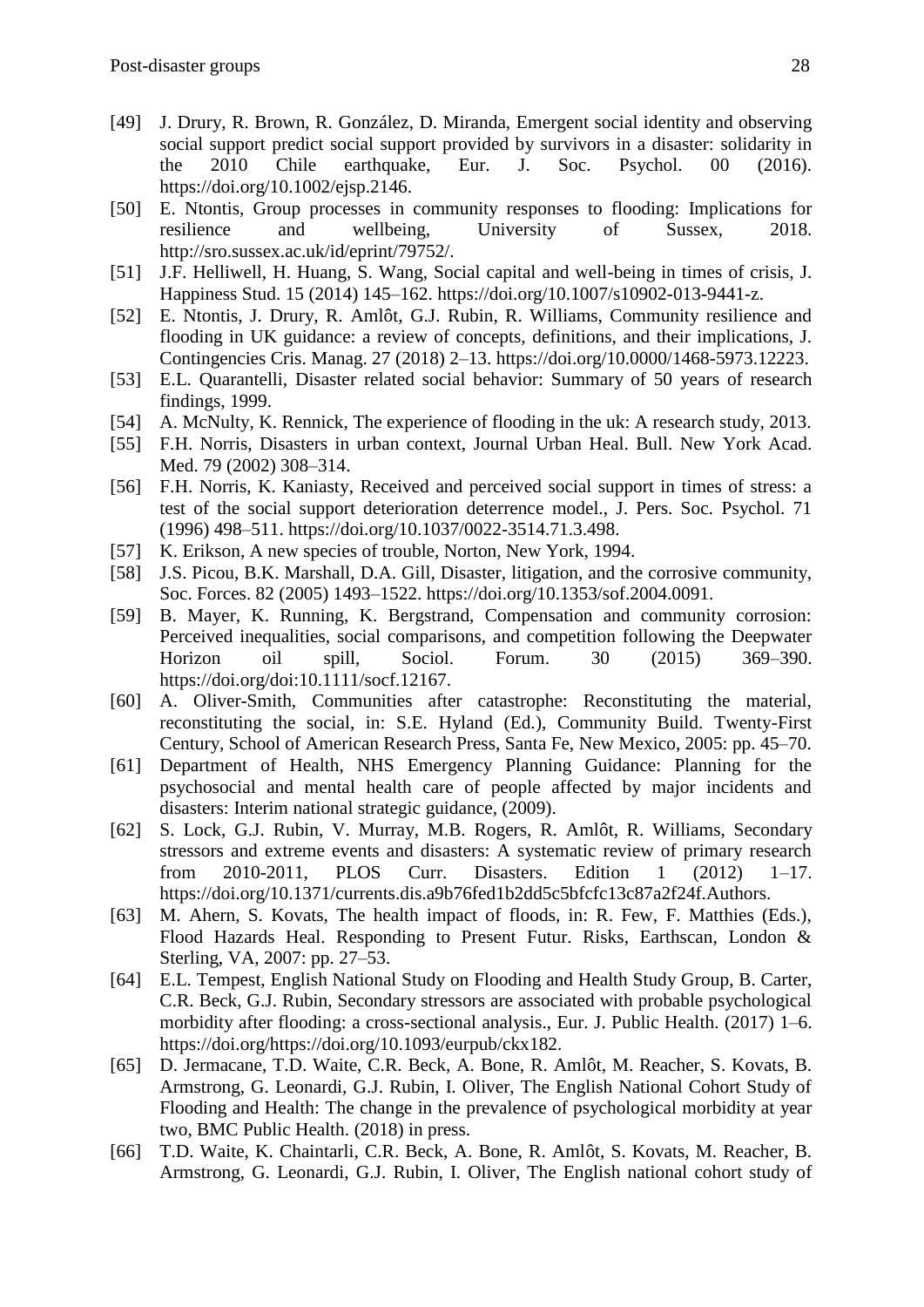- [49] J. Drury, R. Brown, R. González, D. Miranda, Emergent social identity and observing social support predict social support provided by survivors in a disaster: solidarity in the 2010 Chile earthquake, Eur. J. Soc. Psychol. 00 (2016). https://doi.org/10.1002/ejsp.2146.
- [50] E. Ntontis, Group processes in community responses to flooding: Implications for resilience and wellbeing, University of Sussex, 2018. http://sro.sussex.ac.uk/id/eprint/79752/.
- [51] J.F. Helliwell, H. Huang, S. Wang, Social capital and well-being in times of crisis, J. Happiness Stud. 15 (2014) 145–162. https://doi.org/10.1007/s10902-013-9441-z.
- [52] E. Ntontis, J. Drury, R. Amlôt, G.J. Rubin, R. Williams, Community resilience and flooding in UK guidance: a review of concepts, definitions, and their implications, J. Contingencies Cris. Manag. 27 (2018) 2–13. https://doi.org/10.0000/1468-5973.12223.
- [53] E.L. Quarantelli, Disaster related social behavior: Summary of 50 years of research findings, 1999.
- [54] A. McNulty, K. Rennick, The experience of flooding in the uk: A research study, 2013.
- [55] F.H. Norris, Disasters in urban context, Journal Urban Heal. Bull. New York Acad. Med. 79 (2002) 308–314.
- [56] F.H. Norris, K. Kaniasty, Received and perceived social support in times of stress: a test of the social support deterioration deterrence model., J. Pers. Soc. Psychol. 71 (1996) 498–511. https://doi.org/10.1037/0022-3514.71.3.498.
- [57] K. Erikson, A new species of trouble, Norton, New York, 1994.
- [58] J.S. Picou, B.K. Marshall, D.A. Gill, Disaster, litigation, and the corrosive community, Soc. Forces. 82 (2005) 1493–1522. https://doi.org/10.1353/sof.2004.0091.
- [59] B. Mayer, K. Running, K. Bergstrand, Compensation and community corrosion: Perceived inequalities, social comparisons, and competition following the Deepwater Horizon oil spill, Sociol. Forum. 30 (2015) 369–390. https://doi.org/doi:10.1111/socf.12167.
- [60] A. Oliver-Smith, Communities after catastrophe: Reconstituting the material, reconstituting the social, in: S.E. Hyland (Ed.), Community Build. Twenty-First Century, School of American Research Press, Santa Fe, New Mexico, 2005: pp. 45–70.
- [61] Department of Health, NHS Emergency Planning Guidance: Planning for the psychosocial and mental health care of people affected by major incidents and disasters: Interim national strategic guidance, (2009).
- [62] S. Lock, G.J. Rubin, V. Murray, M.B. Rogers, R. Amlôt, R. Williams, Secondary stressors and extreme events and disasters: A systematic review of primary research from 2010-2011, PLOS Curr. Disasters. Edition 1 (2012) 1–17. https://doi.org/10.1371/currents.dis.a9b76fed1b2dd5c5bfcfc13c87a2f24f.Authors.
- [63] M. Ahern, S. Kovats, The health impact of floods, in: R. Few, F. Matthies (Eds.), Flood Hazards Heal. Responding to Present Futur. Risks, Earthscan, London & Sterling, VA, 2007: pp. 27–53.
- [64] E.L. Tempest, English National Study on Flooding and Health Study Group, B. Carter, C.R. Beck, G.J. Rubin, Secondary stressors are associated with probable psychological morbidity after flooding: a cross-sectional analysis., Eur. J. Public Health. (2017) 1–6. https://doi.org/https://doi.org/10.1093/eurpub/ckx182.
- [65] D. Jermacane, T.D. Waite, C.R. Beck, A. Bone, R. Amlôt, M. Reacher, S. Kovats, B. Armstrong, G. Leonardi, G.J. Rubin, I. Oliver, The English National Cohort Study of Flooding and Health: The change in the prevalence of psychological morbidity at year two, BMC Public Health. (2018) in press.
- [66] T.D. Waite, K. Chaintarli, C.R. Beck, A. Bone, R. Amlôt, S. Kovats, M. Reacher, B. Armstrong, G. Leonardi, G.J. Rubin, I. Oliver, The English national cohort study of